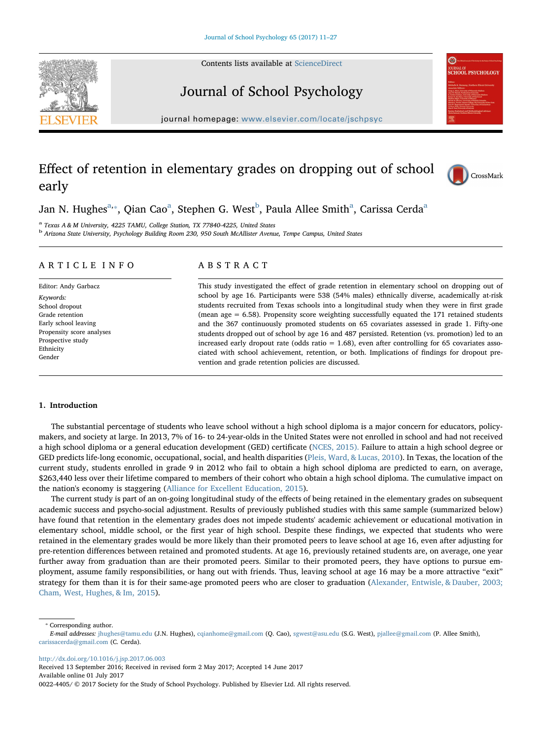Contents lists available at [ScienceDirect](http://www.sciencedirect.com/science/journal/00224405)





# Journal of School Psychology

journal homepage: [www.elsevier.com/locate/jschpsyc](http://www.elsevier.com/locate/jschpsyc)

# Effect of retention in elementary grades on dropping out of school early



Jan N. Hughes<sup>[a,](#page-0-0)</sup>\*, Qi[a](#page-0-0)n Cao<sup>a</sup>, Stephen G. West<sup>[b](#page-0-2)</sup>, Paula Allee Smith<sup>a</sup>, Carissa Cerda<sup>a</sup>

<span id="page-0-0"></span><sup>a</sup> Texas A & M University, 4225 TAMU, College Station, TX 77840-4225, United States

<span id="page-0-2"></span><sup>b</sup> Arizona State University, Psychology Building Room 230, 950 South McAllister Avenue, Tempe Campus, United States

# ARTICLE INFO

Editor: Andy Garbacz Keywords: School dropout Grade retention Early school leaving Propensity score analyses Prospective study Ethnicity Gender

# ABSTRACT

This study investigated the effect of grade retention in elementary school on dropping out of school by age 16. Participants were 538 (54% males) ethnically diverse, academically at-risk students recruited from Texas schools into a longitudinal study when they were in first grade (mean  $age = 6.58$ ). Propensity score weighting successfully equated the 171 retained students and the 367 continuously promoted students on 65 covariates assessed in grade 1. Fifty-one students dropped out of school by age 16 and 487 persisted. Retention (vs. promotion) led to an increased early dropout rate (odds ratio = 1.68), even after controlling for 65 covariates associated with school achievement, retention, or both. Implications of findings for dropout prevention and grade retention policies are discussed.

# 1. Introduction

The substantial percentage of students who leave school without a high school diploma is a major concern for educators, policymakers, and society at large. In 2013, 7% of 16- to 24-year-olds in the United States were not enrolled in school and had not received a high school diploma or a general education development (GED) certificate ([NCES, 2015\).](#page-15-0) Failure to attain a high school degree or GED predicts life-long economic, occupational, social, and health disparities [\(Pleis, Ward, & Lucas, 2010\)](#page-15-1). In Texas, the location of the current study, students enrolled in grade 9 in 2012 who fail to obtain a high school diploma are predicted to earn, on average, \$263,440 less over their lifetime compared to members of their cohort who obtain a high school diploma. The cumulative impact on the nation's economy is staggering [\(Alliance for Excellent Education, 2015\)](#page-14-0).

The current study is part of an on-going longitudinal study of the effects of being retained in the elementary grades on subsequent academic success and psycho-social adjustment. Results of previously published studies with this same sample (summarized below) have found that retention in the elementary grades does not impede students' academic achievement or educational motivation in elementary school, middle school, or the first year of high school. Despite these findings, we expected that students who were retained in the elementary grades would be more likely than their promoted peers to leave school at age 16, even after adjusting for pre-retention differences between retained and promoted students. At age 16, previously retained students are, on average, one year further away from graduation than are their promoted peers. Similar to their promoted peers, they have options to pursue employment, assume family responsibilities, or hang out with friends. Thus, leaving school at age 16 may be a more attractive "exit" strategy for them than it is for their same-age promoted peers who are closer to graduation ([Alexander, Entwisle, & Dauber, 2003;](#page-14-1) [Cham, West, Hughes, & Im, 2015\)](#page-14-1).

<http://dx.doi.org/10.1016/j.jsp.2017.06.003>

Received 13 September 2016; Received in revised form 2 May 2017; Accepted 14 June 2017 Available online 01 July 2017 0022-4405/ © 2017 Society for the Study of School Psychology. Published by Elsevier Ltd. All rights reserved.

<span id="page-0-1"></span><sup>⁎</sup> Corresponding author. E-mail addresses: [jhughes@tamu.edu](mailto:jhughes@tamu.edu) (J.N. Hughes), [cqianhome@gmail.com](mailto:cqianhome@gmail.com) (Q. Cao), [sgwest@asu.edu](mailto:sgwest@asu.edu) (S.G. West), [pjallee@gmail.com](mailto:pjallee@gmail.com) (P. Allee Smith), [carissacerda@gmail.com](mailto:carissacerda@gmail.com) (C. Cerda).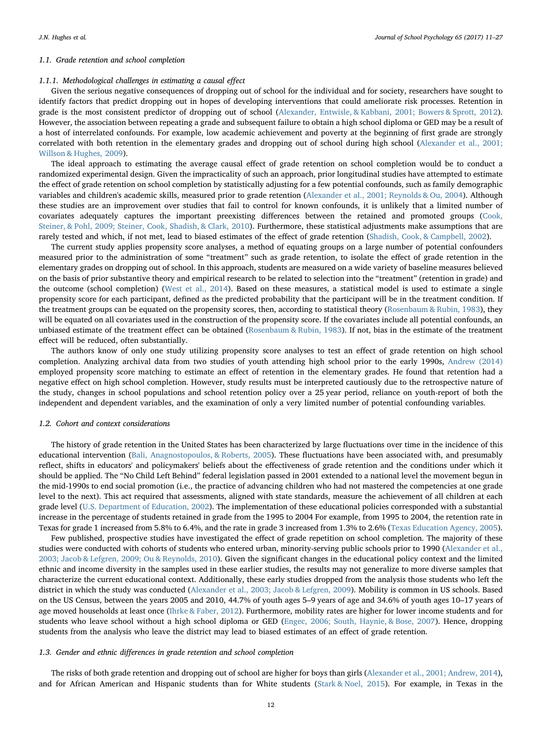#### 1.1. Grade retention and school completion

# 1.1.1. Methodological challenges in estimating a causal effect

Given the serious negative consequences of dropping out of school for the individual and for society, researchers have sought to identify factors that predict dropping out in hopes of developing interventions that could ameliorate risk processes. Retention in grade is the most consistent predictor of dropping out of school [\(Alexander, Entwisle, & Kabbani, 2001; Bowers & Sprott, 2012\)](#page-14-2). However, the association between repeating a grade and subsequent failure to obtain a high school diploma or GED may be a result of a host of interrelated confounds. For example, low academic achievement and poverty at the beginning of first grade are strongly correlated with both retention in the elementary grades and dropping out of school during high school ([Alexander et al., 2001;](#page-14-2) [Willson & Hughes, 2009](#page-14-2)).

The ideal approach to estimating the average causal effect of grade retention on school completion would be to conduct a randomized experimental design. Given the impracticality of such an approach, prior longitudinal studies have attempted to estimate the effect of grade retention on school completion by statistically adjusting for a few potential confounds, such as family demographic variables and children's academic skills, measured prior to grade retention ([Alexander et al., 2001; Reynolds & Ou, 2004\)](#page-14-2). Although these studies are an improvement over studies that fail to control for known confounds, it is unlikely that a limited number of covariates adequately captures the important preexisting differences between the retained and promoted groups [\(Cook,](#page-14-3) [Steiner, & Pohl, 2009; Steiner, Cook, Shadish, & Clark, 2010\)](#page-14-3). Furthermore, these statistical adjustments make assumptions that are rarely tested and which, if not met, lead to biased estimates of the effect of grade retention [\(Shadish, Cook, & Campbell, 2002\)](#page-15-2).

The current study applies propensity score analyses, a method of equating groups on a large number of potential confounders measured prior to the administration of some "treatment" such as grade retention, to isolate the effect of grade retention in the elementary grades on dropping out of school. In this approach, students are measured on a wide variety of baseline measures believed on the basis of prior substantive theory and empirical research to be related to selection into the "treatment" (retention in grade) and the outcome (school completion) ([West et al., 2014\)](#page-15-3). Based on these measures, a statistical model is used to estimate a single propensity score for each participant, defined as the predicted probability that the participant will be in the treatment condition. If the treatment groups can be equated on the propensity scores, then, according to statistical theory [\(Rosenbaum & Rubin, 1983](#page-15-4)), they will be equated on all covariates used in the construction of the propensity score. If the covariates include all potential confounds, an unbiased estimate of the treatment effect can be obtained ([Rosenbaum & Rubin, 1983](#page-15-4)). If not, bias in the estimate of the treatment effect will be reduced, often substantially.

The authors know of only one study utilizing propensity score analyses to test an effect of grade retention on high school completion. Analyzing archival data from two studies of youth attending high school prior to the early 1990s, [Andrew \(2014\)](#page-14-4) employed propensity score matching to estimate an effect of retention in the elementary grades. He found that retention had a negative effect on high school completion. However, study results must be interpreted cautiously due to the retrospective nature of the study, changes in school populations and school retention policy over a 25 year period, reliance on youth-report of both the independent and dependent variables, and the examination of only a very limited number of potential confounding variables.

# 1.2. Cohort and context considerations

The history of grade retention in the United States has been characterized by large fluctuations over time in the incidence of this educational intervention [\(Bali, Anagnostopoulos, & Roberts, 2005](#page-14-5)). These fluctuations have been associated with, and presumably reflect, shifts in educators' and policymakers' beliefs about the effectiveness of grade retention and the conditions under which it should be applied. The "No Child Left Behind" federal legislation passed in 2001 extended to a national level the movement begun in the mid-1990s to end social promotion (i.e., the practice of advancing children who had not mastered the competencies at one grade level to the next). This act required that assessments, aligned with state standards, measure the achievement of all children at each grade level ([U.S. Department of Education, 2002](#page-15-5)). The implementation of these educational policies corresponded with a substantial increase in the percentage of students retained in grade from the 1995 to 2004 For example, from 1995 to 2004, the retention rate in Texas for grade 1 increased from 5.8% to 6.4%, and the rate in grade 3 increased from 1.3% to 2.6% ([Texas Education Agency, 2005\)](#page-15-6).

Few published, prospective studies have investigated the effect of grade repetition on school completion. The majority of these studies were conducted with cohorts of students who entered urban, minority-serving public schools prior to 1990 [\(Alexander et al.,](#page-14-1) [2003; Jacob & Lefgren, 2009; Ou & Reynolds, 2010](#page-14-1)). Given the significant changes in the educational policy context and the limited ethnic and income diversity in the samples used in these earlier studies, the results may not generalize to more diverse samples that characterize the current educational context. Additionally, these early studies dropped from the analysis those students who left the district in which the study was conducted ([Alexander et al., 2003; Jacob & Lefgren, 2009\)](#page-14-1). Mobility is common in US schools. Based on the US Census, between the years 2005 and 2010, 44.7% of youth ages 5–9 years of age and 34.6% of youth ages 10–17 years of age moved households at least once [\(Ihrke & Faber, 2012\)](#page-14-6). Furthermore, mobility rates are higher for lower income students and for students who leave school without a high school diploma or GED ([Engec, 2006; South, Haynie, & Bose, 2007](#page-15-7)). Hence, dropping students from the analysis who leave the district may lead to biased estimates of an effect of grade retention.

#### 1.3. Gender and ethnic differences in grade retention and school completion

The risks of both grade retention and dropping out of school are higher for boys than girls ([Alexander et al., 2001; Andrew, 2014](#page-14-2)), and for African American and Hispanic students than for White students [\(Stark & Noel, 2015\)](#page-15-8). For example, in Texas in the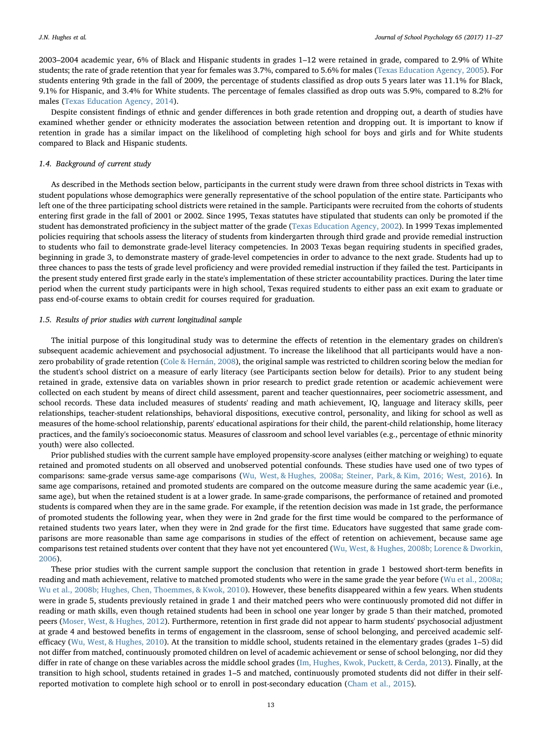2003–2004 academic year, 6% of Black and Hispanic students in grades 1–12 were retained in grade, compared to 2.9% of White students; the rate of grade retention that year for females was 3.7%, compared to 5.6% for males [\(Texas Education Agency, 2005](#page-15-6)). For students entering 9th grade in the fall of 2009, the percentage of students classified as drop outs 5 years later was 11.1% for Black, 9.1% for Hispanic, and 3.4% for White students. The percentage of females classified as drop outs was 5.9%, compared to 8.2% for males ([Texas Education Agency, 2014](#page-15-9)).

Despite consistent findings of ethnic and gender differences in both grade retention and dropping out, a dearth of studies have examined whether gender or ethnicity moderates the association between retention and dropping out. It is important to know if retention in grade has a similar impact on the likelihood of completing high school for boys and girls and for White students compared to Black and Hispanic students.

#### 1.4. Background of current study

As described in the Methods section below, participants in the current study were drawn from three school districts in Texas with student populations whose demographics were generally representative of the school population of the entire state. Participants who left one of the three participating school districts were retained in the sample. Participants were recruited from the cohorts of students entering first grade in the fall of 2001 or 2002. Since 1995, Texas statutes have stipulated that students can only be promoted if the student has demonstrated proficiency in the subject matter of the grade [\(Texas Education Agency, 2002\)](#page-15-10). In 1999 Texas implemented policies requiring that schools assess the literacy of students from kindergarten through third grade and provide remedial instruction to students who fail to demonstrate grade-level literacy competencies. In 2003 Texas began requiring students in specified grades, beginning in grade 3, to demonstrate mastery of grade-level competencies in order to advance to the next grade. Students had up to three chances to pass the tests of grade level proficiency and were provided remedial instruction if they failed the test. Participants in the present study entered first grade early in the state's implementation of these stricter accountability practices. During the later time period when the current study participants were in high school, Texas required students to either pass an exit exam to graduate or pass end-of-course exams to obtain credit for courses required for graduation.

#### 1.5. Results of prior studies with current longitudinal sample

The initial purpose of this longitudinal study was to determine the effects of retention in the elementary grades on children's subsequent academic achievement and psychosocial adjustment. To increase the likelihood that all participants would have a nonzero probability of grade retention [\(Cole & Hernán, 2008\)](#page-14-7), the original sample was restricted to children scoring below the median for the student's school district on a measure of early literacy (see Participants section below for details). Prior to any student being retained in grade, extensive data on variables shown in prior research to predict grade retention or academic achievement were collected on each student by means of direct child assessment, parent and teacher questionnaires, peer sociometric assessment, and school records. These data included measures of students' reading and math achievement, IQ, language and literacy skills, peer relationships, teacher-student relationships, behavioral dispositions, executive control, personality, and liking for school as well as measures of the home-school relationship, parents' educational aspirations for their child, the parent-child relationship, home literacy practices, and the family's socioeconomic status. Measures of classroom and school level variables (e.g., percentage of ethnic minority youth) were also collected.

Prior published studies with the current sample have employed propensity-score analyses (either matching or weighing) to equate retained and promoted students on all observed and unobserved potential confounds. These studies have used one of two types of comparisons: same-grade versus same-age comparisons ([Wu, West, & Hughes, 2008a; Steiner, Park, & Kim, 2016; West, 2016\)](#page-16-0). In same age comparisons, retained and promoted students are compared on the outcome measure during the same academic year (i.e., same age), but when the retained student is at a lower grade. In same-grade comparisons, the performance of retained and promoted students is compared when they are in the same grade. For example, if the retention decision was made in 1st grade, the performance of promoted students the following year, when they were in 2nd grade for the first time would be compared to the performance of retained students two years later, when they were in 2nd grade for the first time. Educators have suggested that same grade comparisons are more reasonable than same age comparisons in studies of the effect of retention on achievement, because same age comparisons test retained students over content that they have not yet encountered ([Wu, West, & Hughes, 2008b; Lorence & Dworkin,](#page-16-1) [2006\)](#page-16-1).

These prior studies with the current sample support the conclusion that retention in grade 1 bestowed short-term benefits in reading and math achievement, relative to matched promoted students who were in the same grade the year before ([Wu et al., 2008a;](#page-16-0) [Wu et al., 2008b; Hughes, Chen, Thoemmes, & Kwok, 2010](#page-16-0)). However, these benefits disappeared within a few years. When students were in grade 5, students previously retained in grade 1 and their matched peers who were continuously promoted did not differ in reading or math skills, even though retained students had been in school one year longer by grade 5 than their matched, promoted peers ([Moser, West, & Hughes, 2012](#page-15-11)). Furthermore, retention in first grade did not appear to harm students' psychosocial adjustment at grade 4 and bestowed benefits in terms of engagement in the classroom, sense of school belonging, and perceived academic selfefficacy [\(Wu, West, & Hughes, 2010\)](#page-16-2). At the transition to middle school, students retained in the elementary grades (grades 1–5) did not differ from matched, continuously promoted children on level of academic achievement or sense of school belonging, nor did they differ in rate of change on these variables across the middle school grades [\(Im, Hughes, Kwok, Puckett, & Cerda, 2013\)](#page-14-8). Finally, at the transition to high school, students retained in grades 1–5 and matched, continuously promoted students did not differ in their selfreported motivation to complete high school or to enroll in post-secondary education [\(Cham et al., 2015](#page-14-9)).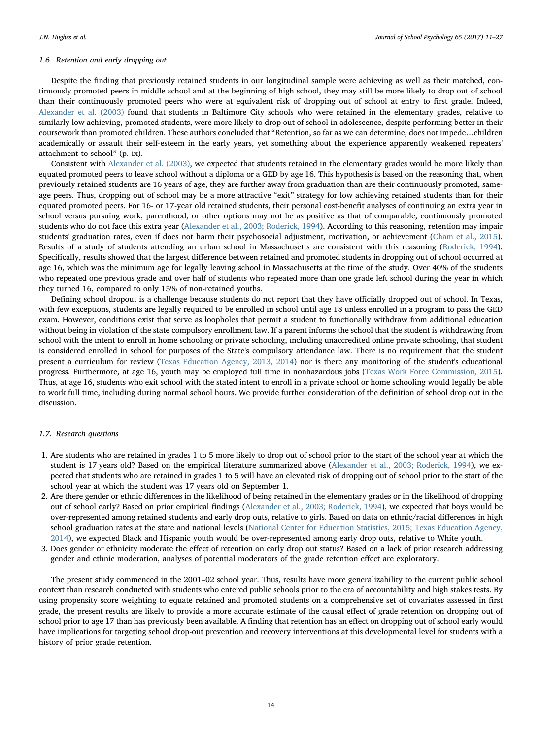### 1.6. Retention and early dropping out

Despite the finding that previously retained students in our longitudinal sample were achieving as well as their matched, continuously promoted peers in middle school and at the beginning of high school, they may still be more likely to drop out of school than their continuously promoted peers who were at equivalent risk of dropping out of school at entry to first grade. Indeed, [Alexander et al. \(2003\)](#page-14-1) found that students in Baltimore City schools who were retained in the elementary grades, relative to similarly low achieving, promoted students, were more likely to drop out of school in adolescence, despite performing better in their coursework than promoted children. These authors concluded that "Retention, so far as we can determine, does not impede…children academically or assault their self-esteem in the early years, yet something about the experience apparently weakened repeaters' attachment to school" (p. ix).

Consistent with [Alexander et al. \(2003\),](#page-14-1) we expected that students retained in the elementary grades would be more likely than equated promoted peers to leave school without a diploma or a GED by age 16. This hypothesis is based on the reasoning that, when previously retained students are 16 years of age, they are further away from graduation than are their continuously promoted, sameage peers. Thus, dropping out of school may be a more attractive "exit" strategy for low achieving retained students than for their equated promoted peers. For 16- or 17-year old retained students, their personal cost-benefit analyses of continuing an extra year in school versus pursuing work, parenthood, or other options may not be as positive as that of comparable, continuously promoted students who do not face this extra year [\(Alexander et al., 2003; Roderick, 1994\)](#page-14-1). According to this reasoning, retention may impair students' graduation rates, even if does not harm their psychosocial adjustment, motivation, or achievement [\(Cham et al., 2015\)](#page-14-9). Results of a study of students attending an urban school in Massachusetts are consistent with this reasoning ([Roderick, 1994\)](#page-15-12). Specifically, results showed that the largest difference between retained and promoted students in dropping out of school occurred at age 16, which was the minimum age for legally leaving school in Massachusetts at the time of the study. Over 40% of the students who repeated one previous grade and over half of students who repeated more than one grade left school during the year in which they turned 16, compared to only 15% of non-retained youths.

Defining school dropout is a challenge because students do not report that they have officially dropped out of school. In Texas, with few exceptions, students are legally required to be enrolled in school until age 18 unless enrolled in a program to pass the GED exam. However, conditions exist that serve as loopholes that permit a student to functionally withdraw from additional education without being in violation of the state compulsory enrollment law. If a parent informs the school that the student is withdrawing from school with the intent to enroll in home schooling or private schooling, including unaccredited online private schooling, that student is considered enrolled in school for purposes of the State's compulsory attendance law. There is no requirement that the student present a curriculum for review ([Texas Education Agency, 2013, 2014](#page-15-13)) nor is there any monitoring of the student's educational progress. Furthermore, at age 16, youth may be employed full time in nonhazardous jobs ([Texas Work Force Commission, 2015\)](#page-15-14). Thus, at age 16, students who exit school with the stated intent to enroll in a private school or home schooling would legally be able to work full time, including during normal school hours. We provide further consideration of the definition of school drop out in the discussion.

#### 1.7. Research questions

- 1. Are students who are retained in grades 1 to 5 more likely to drop out of school prior to the start of the school year at which the student is 17 years old? Based on the empirical literature summarized above [\(Alexander et al., 2003; Roderick, 1994](#page-14-1)), we expected that students who are retained in grades 1 to 5 will have an elevated risk of dropping out of school prior to the start of the school year at which the student was 17 years old on September 1.
- 2. Are there gender or ethnic differences in the likelihood of being retained in the elementary grades or in the likelihood of dropping out of school early? Based on prior empirical findings [\(Alexander et al., 2003; Roderick, 1994\)](#page-14-1), we expected that boys would be over-represented among retained students and early drop outs, relative to girls. Based on data on ethnic/racial differences in high school graduation rates at the state and national levels ([National Center for Education Statistics, 2015; Texas Education Agency,](#page-15-0) [2014\)](#page-15-0), we expected Black and Hispanic youth would be over-represented among early drop outs, relative to White youth.
- 3. Does gender or ethnicity moderate the effect of retention on early drop out status? Based on a lack of prior research addressing gender and ethnic moderation, analyses of potential moderators of the grade retention effect are exploratory.

The present study commenced in the 2001–02 school year. Thus, results have more generalizability to the current public school context than research conducted with students who entered public schools prior to the era of accountability and high stakes tests. By using propensity score weighting to equate retained and promoted students on a comprehensive set of covariates assessed in first grade, the present results are likely to provide a more accurate estimate of the causal effect of grade retention on dropping out of school prior to age 17 than has previously been available. A finding that retention has an effect on dropping out of school early would have implications for targeting school drop-out prevention and recovery interventions at this developmental level for students with a history of prior grade retention.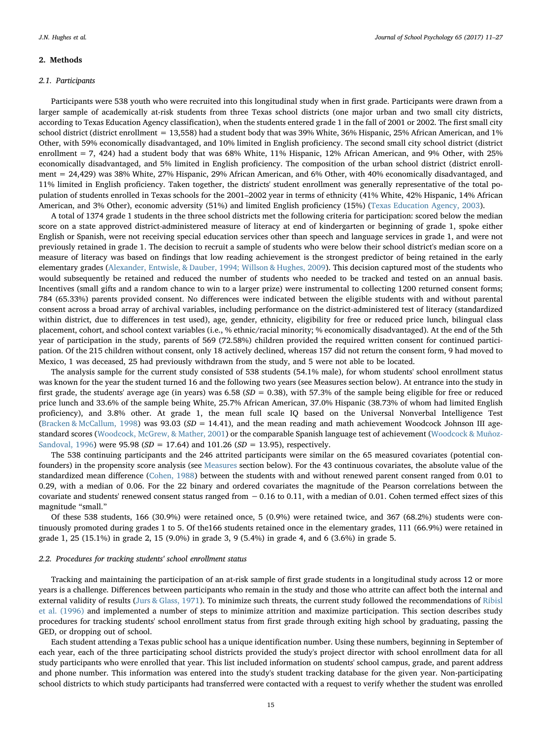# 2. Methods

# 2.1. Participants

Participants were 538 youth who were recruited into this longitudinal study when in first grade. Participants were drawn from a larger sample of academically at-risk students from three Texas school districts (one major urban and two small city districts, according to Texas Education Agency classification), when the students entered grade 1 in the fall of 2001 or 2002. The first small city school district (district enrollment = 13,558) had a student body that was 39% White, 36% Hispanic, 25% African American, and 1% Other, with 59% economically disadvantaged, and 10% limited in English proficiency. The second small city school district (district enrollment = 7, 424) had a student body that was 68% White, 11% Hispanic, 12% African American, and 9% Other, with 25% economically disadvantaged, and 5% limited in English proficiency. The composition of the urban school district (district enrollment = 24,429) was 38% White, 27% Hispanic, 29% African American, and 6% Other, with 40% economically disadvantaged, and 11% limited in English proficiency. Taken together, the districts' student enrollment was generally representative of the total population of students enrolled in Texas schools for the 2001–2002 year in terms of ethnicity (41% White, 42% Hispanic, 14% African American, and 3% Other), economic adversity (51%) and limited English proficiency (15%) ([Texas Education Agency, 2003](#page-15-15)).

A total of 1374 grade 1 students in the three school districts met the following criteria for participation: scored below the median score on a state approved district-administered measure of literacy at end of kindergarten or beginning of grade 1, spoke either English or Spanish, were not receiving special education services other than speech and language services in grade 1, and were not previously retained in grade 1. The decision to recruit a sample of students who were below their school district's median score on a measure of literacy was based on findings that low reading achievement is the strongest predictor of being retained in the early elementary grades [\(Alexander, Entwisle, & Dauber, 1994; Willson & Hughes, 2009](#page-14-10)). This decision captured most of the students who would subsequently be retained and reduced the number of students who needed to be tracked and tested on an annual basis. Incentives (small gifts and a random chance to win to a larger prize) were instrumental to collecting 1200 returned consent forms; 784 (65.33%) parents provided consent. No differences were indicated between the eligible students with and without parental consent across a broad array of archival variables, including performance on the district-administered test of literacy (standardized within district, due to differences in test used), age, gender, ethnicity, eligibility for free or reduced price lunch, bilingual class placement, cohort, and school context variables (i.e., % ethnic/racial minority; % economically disadvantaged). At the end of the 5th year of participation in the study, parents of 569 (72.58%) children provided the required written consent for continued participation. Of the 215 children without consent, only 18 actively declined, whereas 157 did not return the consent form, 9 had moved to Mexico, 1 was deceased, 25 had previously withdrawn from the study, and 5 were not able to be located.

The analysis sample for the current study consisted of 538 students (54.1% male), for whom students' school enrollment status was known for the year the student turned 16 and the following two years (see Measures section below). At entrance into the study in first grade, the students' average age (in years) was 6.58 ( $SD = 0.38$ ), with 57.3% of the sample being eligible for free or reduced price lunch and 33.6% of the sample being White, 25.7% African American, 37.0% Hispanic (38.73% of whom had limited English proficiency), and 3.8% other. At grade 1, the mean full scale IQ based on the Universal Nonverbal Intelligence Test ([Bracken & McCallum, 1998](#page-14-11)) was 93.03 (SD = 14.41), and the mean reading and math achievement Woodcock Johnson III agestandard scores ([Woodcock, McGrew, & Mather, 2001\)](#page-16-3) or the comparable Spanish language test of achievement [\(Woodcock & Muñoz-](#page-16-4)[Sandoval, 1996\)](#page-16-4) were 95.98 ( $SD = 17.64$ ) and 101.26 ( $SD = 13.95$ ), respectively.

The 538 continuing participants and the 246 attrited participants were similar on the 65 measured covariates (potential confounders) in the propensity score analysis (see [Measures](#page-5-0) section below). For the 43 continuous covariates, the absolute value of the standardized mean difference ([Cohen, 1988](#page-14-12)) between the students with and without renewed parent consent ranged from 0.01 to 0.29, with a median of 0.06. For the 22 binary and ordered covariates the magnitude of the Pearson correlations between the covariate and students' renewed consent status ranged from −0.16 to 0.11, with a median of 0.01. Cohen termed effect sizes of this magnitude "small."

Of these 538 students, 166 (30.9%) were retained once, 5 (0.9%) were retained twice, and 367 (68.2%) students were continuously promoted during grades 1 to 5. Of the166 students retained once in the elementary grades, 111 (66.9%) were retained in grade 1, 25 (15.1%) in grade 2, 15 (9.0%) in grade 3, 9 (5.4%) in grade 4, and 6 (3.6%) in grade 5.

# 2.2. Procedures for tracking students' school enrollment status

Tracking and maintaining the participation of an at-risk sample of first grade students in a longitudinal study across 12 or more years is a challenge. Differences between participants who remain in the study and those who attrite can affect both the internal and external validity of results ([Jurs & Glass, 1971\)](#page-14-13). To minimize such threats, the current study followed the recommendations of [Ribisl](#page-15-16) [et al. \(1996\)](#page-15-16) and implemented a number of steps to minimize attrition and maximize participation. This section describes study procedures for tracking students' school enrollment status from first grade through exiting high school by graduating, passing the GED, or dropping out of school.

Each student attending a Texas public school has a unique identification number. Using these numbers, beginning in September of each year, each of the three participating school districts provided the study's project director with school enrollment data for all study participants who were enrolled that year. This list included information on students' school campus, grade, and parent address and phone number. This information was entered into the study's student tracking database for the given year. Non-participating school districts to which study participants had transferred were contacted with a request to verify whether the student was enrolled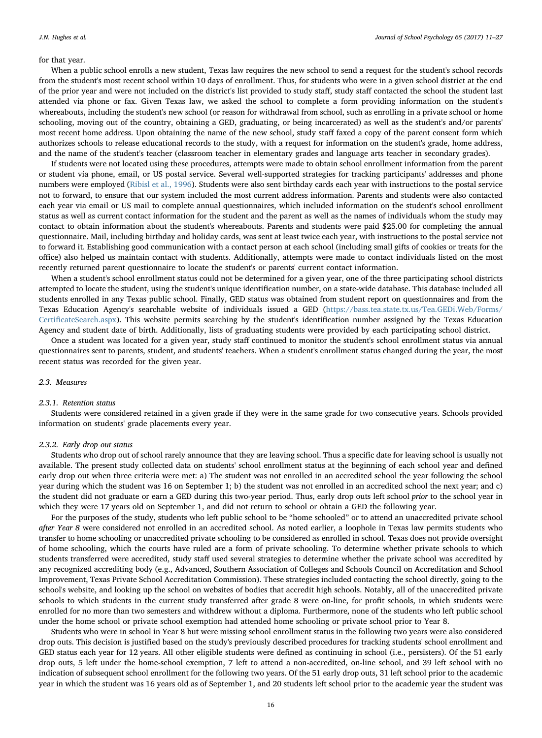#### for that year.

When a public school enrolls a new student, Texas law requires the new school to send a request for the student's school records from the student's most recent school within 10 days of enrollment. Thus, for students who were in a given school district at the end of the prior year and were not included on the district's list provided to study staff, study staff contacted the school the student last attended via phone or fax. Given Texas law, we asked the school to complete a form providing information on the student's whereabouts, including the student's new school (or reason for withdrawal from school, such as enrolling in a private school or home schooling, moving out of the country, obtaining a GED, graduating, or being incarcerated) as well as the student's and/or parents' most recent home address. Upon obtaining the name of the new school, study staff faxed a copy of the parent consent form which authorizes schools to release educational records to the study, with a request for information on the student's grade, home address, and the name of the student's teacher (classroom teacher in elementary grades and language arts teacher in secondary grades).

If students were not located using these procedures, attempts were made to obtain school enrollment information from the parent or student via phone, email, or US postal service. Several well-supported strategies for tracking participants' addresses and phone numbers were employed ([Ribisl et al., 1996\)](#page-15-16). Students were also sent birthday cards each year with instructions to the postal service not to forward, to ensure that our system included the most current address information. Parents and students were also contacted each year via email or US mail to complete annual questionnaires, which included information on the student's school enrollment status as well as current contact information for the student and the parent as well as the names of individuals whom the study may contact to obtain information about the student's whereabouts. Parents and students were paid \$25.00 for completing the annual questionnaire. Mail, including birthday and holiday cards, was sent at least twice each year, with instructions to the postal service not to forward it. Establishing good communication with a contact person at each school (including small gifts of cookies or treats for the office) also helped us maintain contact with students. Additionally, attempts were made to contact individuals listed on the most recently returned parent questionnaire to locate the student's or parents' current contact information.

When a student's school enrollment status could not be determined for a given year, one of the three participating school districts attempted to locate the student, using the student's unique identification number, on a state-wide database. This database included all students enrolled in any Texas public school. Finally, GED status was obtained from student report on questionnaires and from the Texas Education Agency's searchable website of individuals issued a GED ([https://bass.tea.state.tx.us/Tea.GEDi.Web/Forms/](https://bass.tea.state.tx.us/Tea.GEDi.Web/Forms/CertificateSearch.aspx) Certifi[cateSearch.aspx](https://bass.tea.state.tx.us/Tea.GEDi.Web/Forms/CertificateSearch.aspx)). This website permits searching by the student's identification number assigned by the Texas Education Agency and student date of birth. Additionally, lists of graduating students were provided by each participating school district.

Once a student was located for a given year, study staff continued to monitor the student's school enrollment status via annual questionnaires sent to parents, student, and students' teachers. When a student's enrollment status changed during the year, the most recent status was recorded for the given year.

# <span id="page-5-0"></span>2.3. Measures

# 2.3.1. Retention status

Students were considered retained in a given grade if they were in the same grade for two consecutive years. Schools provided information on students' grade placements every year.

# 2.3.2. Early drop out status

Students who drop out of school rarely announce that they are leaving school. Thus a specific date for leaving school is usually not available. The present study collected data on students' school enrollment status at the beginning of each school year and defined early drop out when three criteria were met: a) The student was not enrolled in an accredited school the year following the school year during which the student was 16 on September 1; b) the student was not enrolled in an accredited school the next year; and c) the student did not graduate or earn a GED during this two-year period. Thus, early drop outs left school prior to the school year in which they were 17 years old on September 1, and did not return to school or obtain a GED the following year.

For the purposes of the study, students who left public school to be "home schooled" or to attend an unaccredited private school after Year 8 were considered not enrolled in an accredited school. As noted earlier, a loophole in Texas law permits students who transfer to home schooling or unaccredited private schooling to be considered as enrolled in school. Texas does not provide oversight of home schooling, which the courts have ruled are a form of private schooling. To determine whether private schools to which students transferred were accredited, study staff used several strategies to determine whether the private school was accredited by any recognized accrediting body (e.g., Advanced, Southern Association of Colleges and Schools Council on Accreditation and School Improvement, Texas Private School Accreditation Commission). These strategies included contacting the school directly, going to the school's website, and looking up the school on websites of bodies that accredit high schools. Notably, all of the unaccredited private schools to which students in the current study transferred after grade 8 were on-line, for profit schools, in which students were enrolled for no more than two semesters and withdrew without a diploma. Furthermore, none of the students who left public school under the home school or private school exemption had attended home schooling or private school prior to Year 8.

Students who were in school in Year 8 but were missing school enrollment status in the following two years were also considered drop outs. This decision is justified based on the study's previously described procedures for tracking students' school enrollment and GED status each year for 12 years. All other eligible students were defined as continuing in school (i.e., persisters). Of the 51 early drop outs, 5 left under the home-school exemption, 7 left to attend a non-accredited, on-line school, and 39 left school with no indication of subsequent school enrollment for the following two years. Of the 51 early drop outs, 31 left school prior to the academic year in which the student was 16 years old as of September 1, and 20 students left school prior to the academic year the student was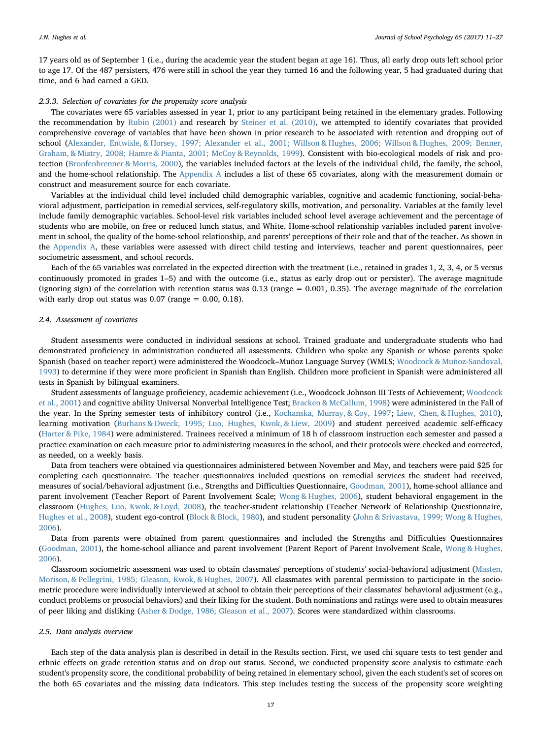17 years old as of September 1 (i.e., during the academic year the student began at age 16). Thus, all early drop outs left school prior to age 17. Of the 487 persisters, 476 were still in school the year they turned 16 and the following year, 5 had graduated during that time, and 6 had earned a GED.

#### 2.3.3. Selection of covariates for the propensity score analysis

The covariates were 65 variables assessed in year 1, prior to any participant being retained in the elementary grades. Following the recommendation by [Rubin \(2001\)](#page-15-17) and research by [Steiner et al. \(2010\)](#page-15-18), we attempted to identify covariates that provided comprehensive coverage of variables that have been shown in prior research to be associated with retention and dropping out of school [\(Alexander, Entwisle, & Horsey, 1997; Alexander et al., 2001; Willson & Hughes, 2006; Willson & Hughes, 2009; Benner,](#page-14-14) [Graham, & Mistry, 2008; Hamre & Pianta, 2001; McCoy & Reynolds, 1999](#page-14-14)). Consistent with bio-ecological models of risk and protection ([Bronfenbrenner & Morris, 2000](#page-14-15)), the variables included factors at the levels of the individual child, the family, the school, and the home-school relationship. The [Appendix A](#page-12-0) includes a list of these 65 covariates, along with the measurement domain or construct and measurement source for each covariate.

Variables at the individual child level included child demographic variables, cognitive and academic functioning, social-behavioral adjustment, participation in remedial services, self-regulatory skills, motivation, and personality. Variables at the family level include family demographic variables. School-level risk variables included school level average achievement and the percentage of students who are mobile, on free or reduced lunch status, and White. Home-school relationship variables included parent involvement in school, the quality of the home-school relationship, and parents' perceptions of their role and that of the teacher. As shown in the [Appendix A,](#page-12-0) these variables were assessed with direct child testing and interviews, teacher and parent questionnaires, peer sociometric assessment, and school records.

Each of the 65 variables was correlated in the expected direction with the treatment (i.e., retained in grades 1, 2, 3, 4, or 5 versus continuously promoted in grades 1–5) and with the outcome (i.e., status as early drop out or persister). The average magnitude (ignoring sign) of the correlation with retention status was 0.13 (range = 0.001, 0.35). The average magnitude of the correlation with early drop out status was  $0.07$  (range =  $0.00$ ,  $0.18$ ).

#### 2.4. Assessment of covariates

Student assessments were conducted in individual sessions at school. Trained graduate and undergraduate students who had demonstrated proficiency in administration conducted all assessments. Children who spoke any Spanish or whose parents spoke Spanish (based on teacher report) were administered the Woodcock–Muñoz Language Survey (WMLS; [Woodcock & Muñoz-Sandoval,](#page-16-5) [1993\)](#page-16-5) to determine if they were more proficient in Spanish than English. Children more proficient in Spanish were administered all tests in Spanish by bilingual examiners.

Student assessments of language proficiency, academic achievement (i.e., Woodcock Johnson III Tests of Achievement; [Woodcock](#page-16-3) [et al., 2001](#page-16-3)) and cognitive ability Universal Nonverbal Intelligence Test; [Bracken & McCallum, 1998\)](#page-14-11) were administered in the Fall of the year. In the Spring semester tests of inhibitory control (i.e., [Kochanska, Murray, & Coy, 1997](#page-14-16); [Liew, Chen, & Hughes, 2010\)](#page-14-17), learning motivation ([Burhans & Dweck, 1995; Luo, Hughes, Kwok, & Liew, 2009\)](#page-14-18) and student perceived academic self-efficacy ([Harter & Pike, 1984](#page-14-19)) were administered. Trainees received a minimum of 18 h of classroom instruction each semester and passed a practice examination on each measure prior to administering measures in the school, and their protocols were checked and corrected, as needed, on a weekly basis.

Data from teachers were obtained via questionnaires administered between November and May, and teachers were paid \$25 for completing each questionnaire. The teacher questionnaires included questions on remedial services the student had received, measures of social/behavioral adjustment (i.e., Strengths and Difficulties Questionnaire, [Goodman, 2001](#page-14-20)), home-school alliance and parent involvement (Teacher Report of Parent Involvement Scale; [Wong & Hughes, 2006\)](#page-15-19), student behavioral engagement in the classroom [\(Hughes, Luo, Kwok, & Loyd, 2008](#page-14-21)), the teacher-student relationship (Teacher Network of Relationship Questionnaire, [Hughes et al., 2008](#page-14-21)), student ego-control [\(Block & Block, 1980\)](#page-14-22), and student personality ([John & Srivastava, 1999; Wong & Hughes,](#page-14-23) [2006\)](#page-14-23).

Data from parents were obtained from parent questionnaires and included the Strengths and Difficulties Questionnaires ([Goodman, 2001\)](#page-14-20), the home-school alliance and parent involvement (Parent Report of Parent Involvement Scale, Wong [& Hughes,](#page-15-19) [2006\)](#page-15-19).

Classroom sociometric assessment was used to obtain classmates' perceptions of students' social-behavioral adjustment ([Masten,](#page-15-20) [Morison, & Pellegrini, 1985; Gleason, Kwok, & Hughes, 2007\)](#page-15-20). All classmates with parental permission to participate in the sociometric procedure were individually interviewed at school to obtain their perceptions of their classmates' behavioral adjustment (e.g., conduct problems or prosocial behaviors) and their liking for the student. Both nominations and ratings were used to obtain measures of peer liking and disliking [\(Asher & Dodge, 1986; Gleason et al., 2007](#page-14-24)). Scores were standardized within classrooms.

#### 2.5. Data analysis overview

Each step of the data analysis plan is described in detail in the Results section. First, we used chi square tests to test gender and ethnic effects on grade retention status and on drop out status. Second, we conducted propensity score analysis to estimate each student's propensity score, the conditional probability of being retained in elementary school, given the each student's set of scores on the both 65 covariates and the missing data indicators. This step includes testing the success of the propensity score weighting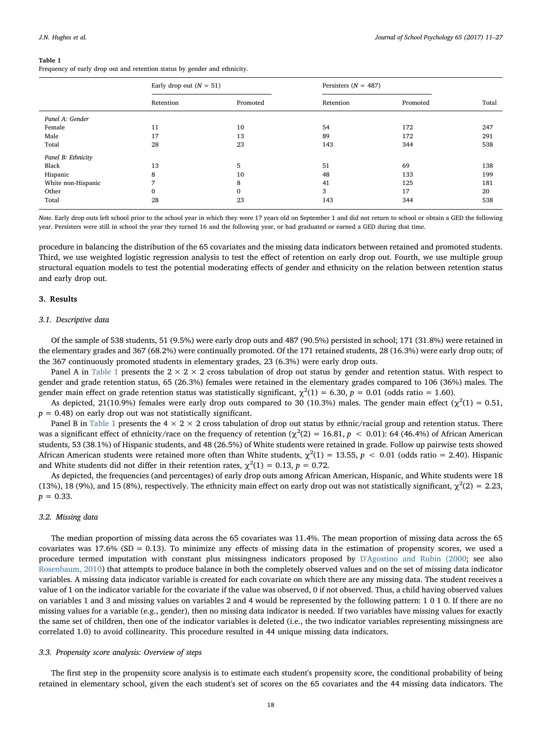#### <span id="page-7-0"></span>Table 1

Frequency of early drop out and retention status by gender and ethnicity.

|                    | Early drop out $(N = 51)$ |              | Persisters ( $N = 487$ ) |          |       |
|--------------------|---------------------------|--------------|--------------------------|----------|-------|
|                    | Retention                 | Promoted     | Retention                | Promoted | Total |
| Panel A: Gender    |                           |              |                          |          |       |
| Female             | 11                        | 10           | 54                       | 172      | 247   |
| Male               | 17                        | 13           | 89                       | 172      | 291   |
| Total              | 28                        | 23           | 143                      | 344      | 538   |
| Panel B: Ethnicity |                           |              |                          |          |       |
| Black              | 13                        | 5            | 51                       | 69       | 138   |
| Hispanic           | 8                         | 10           | 48                       | 133      | 199   |
| White non-Hispanic | 7                         | 8            | 41                       | 125      | 181   |
| Other              | $\mathbf{0}$              | $\mathbf{0}$ | 3                        | 17       | 20    |
| Total              | 28                        | 23           | 143                      | 344      | 538   |

Note. Early drop outs left school prior to the school year in which they were 17 years old on September 1 and did not return to school or obtain a GED the following year. Persisters were still in school the year they turned 16 and the following year, or had graduated or earned a GED during that time.

procedure in balancing the distribution of the 65 covariates and the missing data indicators between retained and promoted students. Third, we use weighted logistic regression analysis to test the effect of retention on early drop out. Fourth, we use multiple group structural equation models to test the potential moderating effects of gender and ethnicity on the relation between retention status and early drop out.

#### 3. Results

## 3.1. Descriptive data

Of the sample of 538 students, 51 (9.5%) were early drop outs and 487 (90.5%) persisted in school; 171 (31.8%) were retained in the elementary grades and 367 (68.2%) were continually promoted. Of the 171 retained students, 28 (16.3%) were early drop outs; of the 367 continuously promoted students in elementary grades, 23 (6.3%) were early drop outs.

Panel A in [Table 1](#page-7-0) presents the  $2 \times 2 \times 2$  cross tabulation of drop out status by gender and retention status. With respect to gender and grade retention status, 65 (26.3%) females were retained in the elementary grades compared to 106 (36%) males. The gender main effect on grade retention status was statistically significant,  $\chi^2(1) = 6.30$ ,  $p = 0.01$  (odds ratio = 1.60).

As depicted, 21(10.9%) females were early drop outs compared to 30 (10.3%) males. The gender main effect ( $\chi^2(1) = 0.51$ ,  $p = 0.48$ ) on early drop out was not statistically significant.

Panel B in [Table 1](#page-7-0) presents the  $4 \times 2 \times 2$  cross tabulation of drop out status by ethnic/racial group and retention status. There was a significant effect of ethnicity/race on the frequency of retention ( $\chi^2(2) = 16.81$ ,  $p < 0.01$ ): 64 (46.4%) of African American students, 53 (38.1%) of Hispanic students, and 48 (26.5%) of White students were retained in grade. Follow up pairwise tests showed African American students were retained more often than White students,  $\chi^2(1) = 13.55$ ,  $p < 0.01$  (odds ratio = 2.40). Hispanic and White students did not differ in their retention rates,  $\chi^2(1) = 0.13$ ,  $p = 0.72$ .

As depicted, the frequencies (and percentages) of early drop outs among African American, Hispanic, and White students were 18 (13%), 18 (9%), and 15 (8%), respectively. The ethnicity main effect on early drop out was not statistically significant,  $\chi^2(2) = 2.23$ ,  $p = 0.33$ .

# 3.2. Missing data

The median proportion of missing data across the 65 covariates was 11.4%. The mean proportion of missing data across the 65 covariates was 17.6% (SD = 0.13). To minimize any effects of missing data in the estimation of propensity scores, we used a procedure termed imputation with constant plus missingness indicators proposed by [D'Agostino and Rubin \(2000;](#page-14-25) see also [Rosenbaum, 2010](#page-15-21)) that attempts to produce balance in both the completely observed values and on the set of missing data indicator variables. A missing data indicator variable is created for each covariate on which there are any missing data. The student receives a value of 1 on the indicator variable for the covariate if the value was observed, 0 if not observed. Thus, a child having observed values on variables 1 and 3 and missing values on variables 2 and 4 would be represented by the following pattern: 1 0 1 0. If there are no missing values for a variable (e.g., gender), then no missing data indicator is needed. If two variables have missing values for exactly the same set of children, then one of the indicator variables is deleted (i.e., the two indicator variables representing missingness are correlated 1.0) to avoid collinearity. This procedure resulted in 44 unique missing data indicators.

#### 3.3. Propensity score analysis: Overview of steps

The first step in the propensity score analysis is to estimate each student's propensity score, the conditional probability of being retained in elementary school, given the each student's set of scores on the 65 covariates and the 44 missing data indicators. The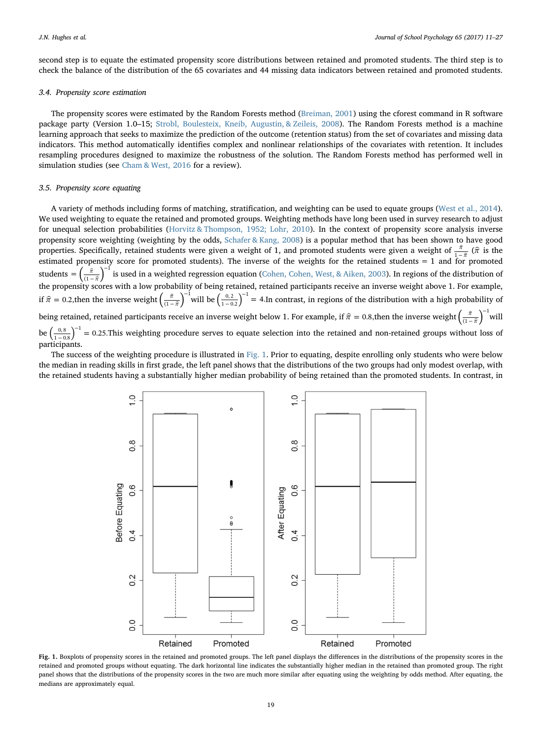second step is to equate the estimated propensity score distributions between retained and promoted students. The third step is to check the balance of the distribution of the 65 covariates and 44 missing data indicators between retained and promoted students.

## 3.4. Propensity score estimation

The propensity scores were estimated by the Random Forests method ([Breiman, 2001\)](#page-14-26) using the cforest command in R software package party (Version 1.0–15; [Strobl, Boulesteix, Kneib, Augustin, & Zeileis, 2008\)](#page-15-22). The Random Forests method is a machine learning approach that seeks to maximize the prediction of the outcome (retention status) from the set of covariates and missing data indicators. This method automatically identifies complex and nonlinear relationships of the covariates with retention. It includes resampling procedures designed to maximize the robustness of the solution. The Random Forests method has performed well in simulation studies (see [Cham & West, 2016](#page-14-27) for a review).

## 3.5. Propensity score equating

A variety of methods including forms of matching, stratification, and weighting can be used to equate groups ([West et al., 2014](#page-15-3)). We used weighting to equate the retained and promoted groups. Weighting methods have long been used in survey research to adjust for unequal selection probabilities ([Horvitz & Thompson, 1952; Lohr, 2010](#page-14-28)). In the context of propensity score analysis inverse propensity score weighting (weighting by the odds, [Schafer & Kang, 2008](#page-15-23)) is a popular method that has been shown to have good properties. Specifically, retained students were given a weight of 1, and promoted students were given a weight of  $\frac{\hat{\pi}}{1-\hat{\pi}}$  ( $\hat{\pi}$  is the estimated propensity score for promoted students). The inverse of the weights for the retained students = 1 and for promoted students =  $\left(\frac{\hat{\pi}}{(1-\hat{\pi})}\right)$  $\left(\frac{\hat{\pi}}{(1-\hat{\pi})}\right)^{-1}$  is used in a weighted regression equation [\(Cohen, Cohen, West, & Aiken, 2003\)](#page-14-29). In regions of the distribution of the propensity scores with a low probability of being retained, retained participants receive an inverse weight above 1. For example, if  $\hat{\pi} = 0.2$ , then the inverse weight  $\left(\frac{\hat{\pi}}{(1-\hat{\pi})}\right)$  $\left(\frac{\hat{\pi}}{(1-\hat{\pi}})^{-1}$  will be  $\left(\frac{0,2}{1-0.2}\right)^{-1} = 4$ .  $1 = 4$ . In contrast, in regions of the distribution with a high probability of being retained, retained participants receive an inverse weight below 1. For example, if  $\hat{\pi} = 0.8$ , then the inverse weight  $\left(\frac{\hat{\pi}}{(1-\hat{\pi})^2}\right)$  $\left(\frac{\hat{\pi}}{(1-\hat{\pi}})\right)^{-1}$ will be  $\left(\frac{0.8}{1-0.8}\right)^{-1} = 0.25$ .  $1 = 0.25$ . This weighting procedure serves to equate selection into the retained and non-retained groups without loss of

<span id="page-8-0"></span>participants. The success of the weighting procedure is illustrated in [Fig. 1.](#page-8-0) Prior to equating, despite enrolling only students who were below the median in reading skills in first grade, the left panel shows that the distributions of the two groups had only modest overlap, with the retained students having a substantially higher median probability of being retained than the promoted students. In contrast, in



Fig. 1. Boxplots of propensity scores in the retained and promoted groups. The left panel displays the differences in the distributions of the propensity scores in the retained and promoted groups without equating. The dark horizontal line indicates the substantially higher median in the retained than promoted group. The right panel shows that the distributions of the propensity scores in the two are much more similar after equating using the weighting by odds method. After equating, the medians are approximately equal.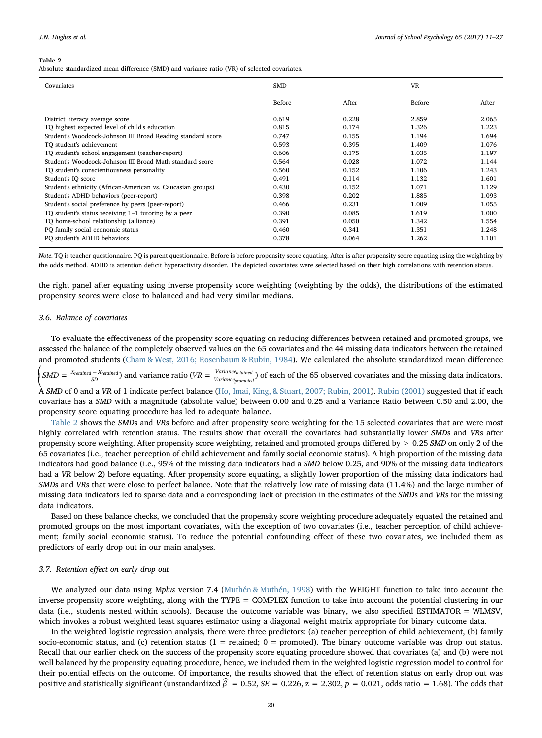#### <span id="page-9-0"></span>Table 2

Absolute standardized mean difference (SMD) and variance ratio (VR) of selected covariates.

| Covariates                                                  | <b>SMD</b> |       | <b>VR</b> |       |
|-------------------------------------------------------------|------------|-------|-----------|-------|
|                                                             | Before     | After | Before    | After |
| District literacy average score                             | 0.619      | 0.228 | 2.859     | 2.065 |
| TO highest expected level of child's education              | 0.815      | 0.174 | 1.326     | 1.223 |
| Student's Woodcock-Johnson III Broad Reading standard score | 0.747      | 0.155 | 1.194     | 1.694 |
| TO student's achievement                                    | 0.593      | 0.395 | 1.409     | 1.076 |
| TO student's school engagement (teacher-report)             | 0.606      | 0.175 | 1.035     | 1.197 |
| Student's Woodcock-Johnson III Broad Math standard score    | 0.564      | 0.028 | 1.072     | 1.144 |
| TO student's conscientiousness personality                  | 0.560      | 0.152 | 1.106     | 1.243 |
| Student's IQ score                                          | 0.491      | 0.114 | 1.132     | 1.601 |
| Student's ethnicity (African-American vs. Caucasian groups) | 0.430      | 0.152 | 1.071     | 1.129 |
| Student's ADHD behaviors (peer-report)                      | 0.398      | 0.202 | 1.885     | 1.093 |
| Student's social preference by peers (peer-report)          | 0.466      | 0.231 | 1.009     | 1.055 |
| TO student's status receiving 1–1 tutoring by a peer        | 0.390      | 0.085 | 1.619     | 1.000 |
| TO home-school relationship (alliance)                      | 0.391      | 0.050 | 1.342     | 1.554 |
| PO family social economic status                            | 0.460      | 0.341 | 1.351     | 1.248 |
| PO student's ADHD behaviors                                 | 0.378      | 0.064 | 1.262     | 1.101 |

Note. TO is teacher questionnaire. PO is parent questionnaire. Before is before propensity score equating. After is after propensity score equating using the weighting by the odds method. ADHD is attention deficit hyperactivity disorder. The depicted covariates were selected based on their high correlations with retention status.

the right panel after equating using inverse propensity score weighting (weighting by the odds), the distributions of the estimated propensity scores were close to balanced and had very similar medians.

#### 3.6. Balance of covariates

To evaluate the effectiveness of the propensity score equating on reducing differences between retained and promoted groups, we assessed the balance of the completely observed values on the 65 covariates and the 44 missing data indicators between the retained and promoted students [\(Cham & West, 2016; Rosenbaum & Rubin, 1984\)](#page-14-27). We calculated the absolute standardized mean difference ⎜ ⎛ ⎝  $SMD = \frac{X_{retained} - X_{retained}}{SD}$  and variance ratio ( $VR = \frac{Variance_{retained}}{Variance_{promoted}}$ ) of each of the 65 observed covariates and the missing data indicators. A SMD of 0 and a VR of 1 indicate perfect balance [\(Ho, Imai, King, & Stuart, 2007; Rubin, 2001\)](#page-14-30). [Rubin \(2001\)](#page-15-17) suggested that if each covariate has a SMD with a magnitude (absolute value) between 0.00 and 0.25 and a Variance Ratio between 0.50 and 2.00, the propensity score equating procedure has led to adequate balance.

[Table 2](#page-9-0) shows the SMDs and VRs before and after propensity score weighting for the 15 selected covariates that are were most highly correlated with retention status. The results show that overall the covariates had substantially lower SMDs and VRs after propensity score weighting. After propensity score weighting, retained and promoted groups differed by > 0.25 SMD on only 2 of the 65 covariates (i.e., teacher perception of child achievement and family social economic status). A high proportion of the missing data indicators had good balance (i.e., 95% of the missing data indicators had a SMD below 0.25, and 90% of the missing data indicators had a VR below 2) before equating. After propensity score equating, a slightly lower proportion of the missing data indicators had SMDs and VRs that were close to perfect balance. Note that the relatively low rate of missing data (11.4%) and the large number of missing data indicators led to sparse data and a corresponding lack of precision in the estimates of the SMDs and VRs for the missing data indicators.

Based on these balance checks, we concluded that the propensity score weighting procedure adequately equated the retained and promoted groups on the most important covariates, with the exception of two covariates (i.e., teacher perception of child achievement; family social economic status). To reduce the potential confounding effect of these two covariates, we included them as predictors of early drop out in our main analyses.

## 3.7. Retention effect on early drop out

We analyzed our data using Mplus version 7.4 [\(Muthén & Muthén, 1998\)](#page-15-24) with the WEIGHT function to take into account the inverse propensity score weighting, along with the TYPE = COMPLEX function to take into account the potential clustering in our data (i.e., students nested within schools). Because the outcome variable was binary, we also specified ESTIMATOR = WLMSV, which invokes a robust weighted least squares estimator using a diagonal weight matrix appropriate for binary outcome data.

In the weighted logistic regression analysis, there were three predictors: (a) teacher perception of child achievement, (b) family socio-economic status, and (c) retention status (1 = retained; 0 = promoted). The binary outcome variable was drop out status. Recall that our earlier check on the success of the propensity score equating procedure showed that covariates (a) and (b) were not well balanced by the propensity equating procedure, hence, we included them in the weighted logistic regression model to control for their potential effects on the outcome. Of importance, the results showed that the effect of retention status on early drop out was positive and statistically significant (unstandardized  $\hat{\beta} = 0.52$ ,  $SE = 0.226$ ,  $z = 2.302$ ,  $p = 0.021$ , odds ratio = 1.68). The odds that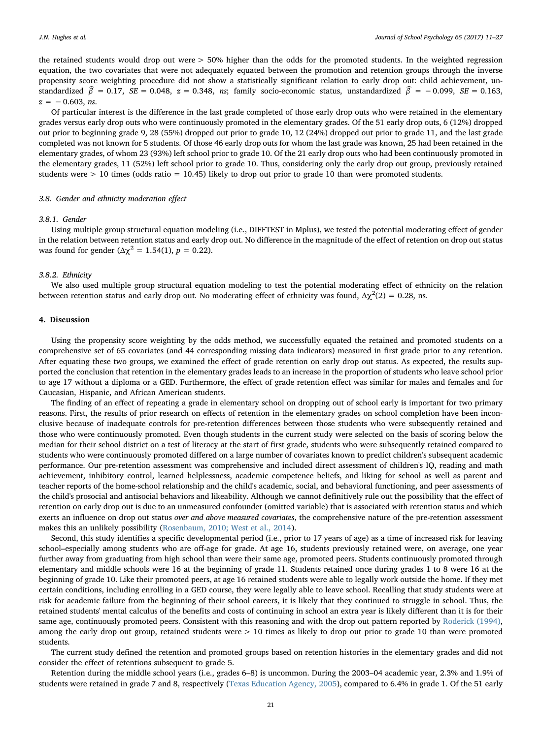the retained students would drop out were > 50% higher than the odds for the promoted students. In the weighted regression equation, the two covariates that were not adequately equated between the promotion and retention groups through the inverse propensity score weighting procedure did not show a statistically significant relation to early drop out: child achievement, unstandardized  $\hat{\beta} = 0.17$ ,  $SE = 0.048$ ,  $z = 0.348$ , ns; family socio-economic status, unstandardized  $\hat{\beta} = -0.099$ ,  $SE = 0.163$ ,  $z = -0.603$ , ns.

Of particular interest is the difference in the last grade completed of those early drop outs who were retained in the elementary grades versus early drop outs who were continuously promoted in the elementary grades. Of the 51 early drop outs, 6 (12%) dropped out prior to beginning grade 9, 28 (55%) dropped out prior to grade 10, 12 (24%) dropped out prior to grade 11, and the last grade completed was not known for 5 students. Of those 46 early drop outs for whom the last grade was known, 25 had been retained in the elementary grades, of whom 23 (93%) left school prior to grade 10. Of the 21 early drop outs who had been continuously promoted in the elementary grades, 11 (52%) left school prior to grade 10. Thus, considering only the early drop out group, previously retained students were > 10 times (odds ratio = 10.45) likely to drop out prior to grade 10 than were promoted students.

## 3.8. Gender and ethnicity moderation effect

# 3.8.1. Gender

Using multiple group structural equation modeling (i.e., DIFFTEST in Mplus), we tested the potential moderating effect of gender in the relation between retention status and early drop out. No difference in the magnitude of the effect of retention on drop out status was found for gender ( $\Delta \chi^2 = 1.54(1)$ ,  $p = 0.22$ ).

#### 3.8.2. Ethnicity

We also used multiple group structural equation modeling to test the potential moderating effect of ethnicity on the relation between retention status and early drop out. No moderating effect of ethnicity was found,  $\Delta \chi^2(2) = 0.28$ , ns.

# 4. Discussion

Using the propensity score weighting by the odds method, we successfully equated the retained and promoted students on a comprehensive set of 65 covariates (and 44 corresponding missing data indicators) measured in first grade prior to any retention. After equating these two groups, we examined the effect of grade retention on early drop out status. As expected, the results supported the conclusion that retention in the elementary grades leads to an increase in the proportion of students who leave school prior to age 17 without a diploma or a GED. Furthermore, the effect of grade retention effect was similar for males and females and for Caucasian, Hispanic, and African American students.

The finding of an effect of repeating a grade in elementary school on dropping out of school early is important for two primary reasons. First, the results of prior research on effects of retention in the elementary grades on school completion have been inconclusive because of inadequate controls for pre-retention differences between those students who were subsequently retained and those who were continuously promoted. Even though students in the current study were selected on the basis of scoring below the median for their school district on a test of literacy at the start of first grade, students who were subsequently retained compared to students who were continuously promoted differed on a large number of covariates known to predict children's subsequent academic performance. Our pre-retention assessment was comprehensive and included direct assessment of children's IQ, reading and math achievement, inhibitory control, learned helplessness, academic competence beliefs, and liking for school as well as parent and teacher reports of the home-school relationship and the child's academic, social, and behavioral functioning, and peer assessments of the child's prosocial and antisocial behaviors and likeability. Although we cannot definitively rule out the possibility that the effect of retention on early drop out is due to an unmeasured confounder (omitted variable) that is associated with retention status and which exerts an influence on drop out status over and above measured covariates, the comprehensive nature of the pre-retention assessment makes this an unlikely possibility ([Rosenbaum, 2010; West et al., 2014\)](#page-15-21).

Second, this study identifies a specific developmental period (i.e., prior to 17 years of age) as a time of increased risk for leaving school–especially among students who are off-age for grade. At age 16, students previously retained were, on average, one year further away from graduating from high school than were their same age, promoted peers. Students continuously promoted through elementary and middle schools were 16 at the beginning of grade 11. Students retained once during grades 1 to 8 were 16 at the beginning of grade 10. Like their promoted peers, at age 16 retained students were able to legally work outside the home. If they met certain conditions, including enrolling in a GED course, they were legally able to leave school. Recalling that study students were at risk for academic failure from the beginning of their school careers, it is likely that they continued to struggle in school. Thus, the retained students' mental calculus of the benefits and costs of continuing in school an extra year is likely different than it is for their same age, continuously promoted peers. Consistent with this reasoning and with the drop out pattern reported by [Roderick \(1994\),](#page-15-12) among the early drop out group, retained students were > 10 times as likely to drop out prior to grade 10 than were promoted students.

The current study defined the retention and promoted groups based on retention histories in the elementary grades and did not consider the effect of retentions subsequent to grade 5.

Retention during the middle school years (i.e., grades 6–8) is uncommon. During the 2003–04 academic year, 2.3% and 1.9% of students were retained in grade 7 and 8, respectively [\(Texas Education Agency, 2005](#page-15-6)), compared to 6.4% in grade 1. Of the 51 early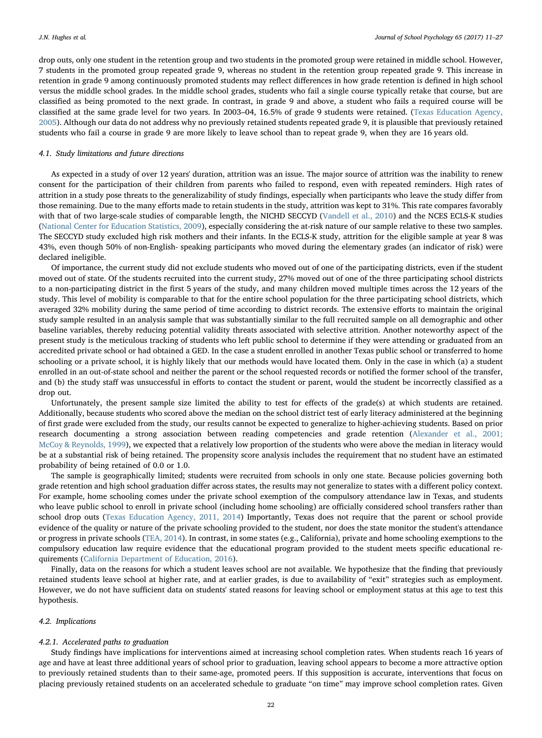drop outs, only one student in the retention group and two students in the promoted group were retained in middle school. However, 7 students in the promoted group repeated grade 9, whereas no student in the retention group repeated grade 9. This increase in retention in grade 9 among continuously promoted students may reflect differences in how grade retention is defined in high school versus the middle school grades. In the middle school grades, students who fail a single course typically retake that course, but are classified as being promoted to the next grade. In contrast, in grade 9 and above, a student who fails a required course will be classified at the same grade level for two years. In 2003–04, 16.5% of grade 9 students were retained. ([Texas Education Agency,](#page-15-6) [2005\)](#page-15-6). Although our data do not address why no previously retained students repeated grade 9, it is plausible that previously retained students who fail a course in grade 9 are more likely to leave school than to repeat grade 9, when they are 16 years old.

#### 4.1. Study limitations and future directions

As expected in a study of over 12 years' duration, attrition was an issue. The major source of attrition was the inability to renew consent for the participation of their children from parents who failed to respond, even with repeated reminders. High rates of attrition in a study pose threats to the generalizability of study findings, especially when participants who leave the study differ from those remaining. Due to the many efforts made to retain students in the study, attrition was kept to 31%. This rate compares favorably with that of two large-scale studies of comparable length, the NICHD SECCYD [\(Vandell et al., 2010\)](#page-15-25) and the NCES ECLS-K studies ([National Center for Education Statistics, 2009\)](#page-15-26), especially considering the at-risk nature of our sample relative to these two samples. The SECCYD study excluded high risk mothers and their infants. In the ECLS-K study, attrition for the eligible sample at year 8 was 43%, even though 50% of non-English- speaking participants who moved during the elementary grades (an indicator of risk) were declared ineligible.

Of importance, the current study did not exclude students who moved out of one of the participating districts, even if the student moved out of state. Of the students recruited into the current study, 27% moved out of one of the three participating school districts to a non-participating district in the first 5 years of the study, and many children moved multiple times across the 12 years of the study. This level of mobility is comparable to that for the entire school population for the three participating school districts, which averaged 32% mobility during the same period of time according to district records. The extensive efforts to maintain the original study sample resulted in an analysis sample that was substantially similar to the full recruited sample on all demographic and other baseline variables, thereby reducing potential validity threats associated with selective attrition. Another noteworthy aspect of the present study is the meticulous tracking of students who left public school to determine if they were attending or graduated from an accredited private school or had obtained a GED. In the case a student enrolled in another Texas public school or transferred to home schooling or a private school, it is highly likely that our methods would have located them. Only in the case in which (a) a student enrolled in an out-of-state school and neither the parent or the school requested records or notified the former school of the transfer, and (b) the study staff was unsuccessful in efforts to contact the student or parent, would the student be incorrectly classified as a drop out.

Unfortunately, the present sample size limited the ability to test for effects of the grade(s) at which students are retained. Additionally, because students who scored above the median on the school district test of early literacy administered at the beginning of first grade were excluded from the study, our results cannot be expected to generalize to higher-achieving students. Based on prior research documenting a strong association between reading competencies and grade retention ([Alexander et al., 2001;](#page-14-2) [McCoy & Reynolds, 1999](#page-14-2)), we expected that a relatively low proportion of the students who were above the median in literacy would be at a substantial risk of being retained. The propensity score analysis includes the requirement that no student have an estimated probability of being retained of 0.0 or 1.0.

The sample is geographically limited; students were recruited from schools in only one state. Because policies governing both grade retention and high school graduation differ across states, the results may not generalize to states with a different policy context. For example, home schooling comes under the private school exemption of the compulsory attendance law in Texas, and students who leave public school to enroll in private school (including home schooling) are officially considered school transfers rather than school drop outs [\(Texas Education Agency, 2011, 2014\)](#page-15-27) Importantly, Texas does not require that the parent or school provide evidence of the quality or nature of the private schooling provided to the student, nor does the state monitor the student's attendance or progress in private schools [\(TEA, 2014\)](#page-15-9). In contrast, in some states (e.g., California), private and home schooling exemptions to the compulsory education law require evidence that the educational program provided to the student meets specific educational requirements [\(California Department of Education, 2016\)](#page-14-31).

Finally, data on the reasons for which a student leaves school are not available. We hypothesize that the finding that previously retained students leave school at higher rate, and at earlier grades, is due to availability of "exit" strategies such as employment. However, we do not have sufficient data on students' stated reasons for leaving school or employment status at this age to test this hypothesis.

#### 4.2. Implications

#### 4.2.1. Accelerated paths to graduation

Study findings have implications for interventions aimed at increasing school completion rates. When students reach 16 years of age and have at least three additional years of school prior to graduation, leaving school appears to become a more attractive option to previously retained students than to their same-age, promoted peers. If this supposition is accurate, interventions that focus on placing previously retained students on an accelerated schedule to graduate "on time" may improve school completion rates. Given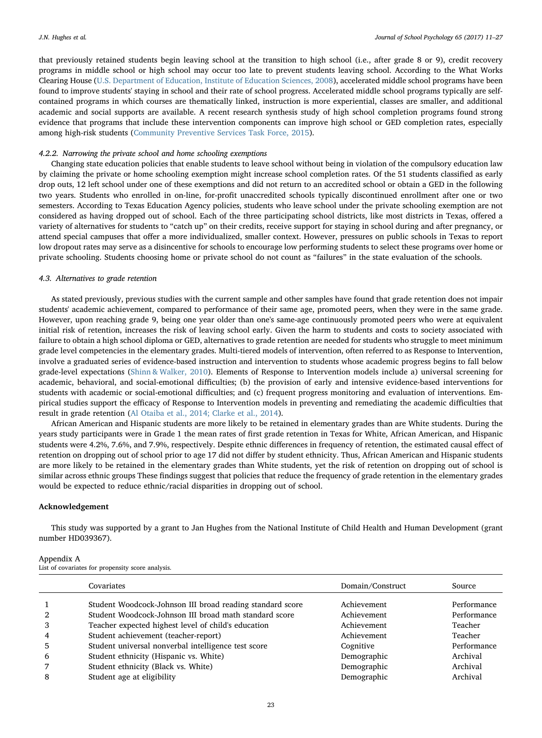that previously retained students begin leaving school at the transition to high school (i.e., after grade 8 or 9), credit recovery programs in middle school or high school may occur too late to prevent students leaving school. According to the What Works Clearing House [\(U.S. Department of Education, Institute of Education Sciences, 2008\)](#page-15-28), accelerated middle school programs have been found to improve students' staying in school and their rate of school progress. Accelerated middle school programs typically are selfcontained programs in which courses are thematically linked, instruction is more experiential, classes are smaller, and additional academic and social supports are available. A recent research synthesis study of high school completion programs found strong evidence that programs that include these intervention components can improve high school or GED completion rates, especially among high-risk students [\(Community Preventive Services Task Force, 2015\)](#page-14-32).

## 4.2.2. Narrowing the private school and home schooling exemptions

Changing state education policies that enable students to leave school without being in violation of the compulsory education law by claiming the private or home schooling exemption might increase school completion rates. Of the 51 students classified as early drop outs, 12 left school under one of these exemptions and did not return to an accredited school or obtain a GED in the following two years. Students who enrolled in on-line, for-profit unaccredited schools typically discontinued enrollment after one or two semesters. According to Texas Education Agency policies, students who leave school under the private schooling exemption are not considered as having dropped out of school. Each of the three participating school districts, like most districts in Texas, offered a variety of alternatives for students to "catch up" on their credits, receive support for staying in school during and after pregnancy, or attend special campuses that offer a more individualized, smaller context. However, pressures on public schools in Texas to report low dropout rates may serve as a disincentive for schools to encourage low performing students to select these programs over home or private schooling. Students choosing home or private school do not count as "failures" in the state evaluation of the schools.

## 4.3. Alternatives to grade retention

As stated previously, previous studies with the current sample and other samples have found that grade retention does not impair students' academic achievement, compared to performance of their same age, promoted peers, when they were in the same grade. However, upon reaching grade 9, being one year older than one's same-age continuously promoted peers who were at equivalent initial risk of retention, increases the risk of leaving school early. Given the harm to students and costs to society associated with failure to obtain a high school diploma or GED, alternatives to grade retention are needed for students who struggle to meet minimum grade level competencies in the elementary grades. Multi-tiered models of intervention, often referred to as Response to Intervention, involve a graduated series of evidence-based instruction and intervention to students whose academic progress begins to fall below grade-level expectations [\(Shinn & Walker, 2010\)](#page-15-29). Elements of Response to Intervention models include a) universal screening for academic, behavioral, and social-emotional difficulties; (b) the provision of early and intensive evidence-based interventions for students with academic or social-emotional difficulties; and (c) frequent progress monitoring and evaluation of interventions. Empirical studies support the efficacy of Response to Intervention models in preventing and remediating the academic difficulties that result in grade retention [\(Al Otaiba et al., 2014; Clarke et al., 2014\)](#page-14-33).

African American and Hispanic students are more likely to be retained in elementary grades than are White students. During the years study participants were in Grade 1 the mean rates of first grade retention in Texas for White, African American, and Hispanic students were 4.2%, 7.6%, and 7.9%, respectively. Despite ethnic differences in frequency of retention, the estimated causal effect of retention on dropping out of school prior to age 17 did not differ by student ethnicity. Thus, African American and Hispanic students are more likely to be retained in the elementary grades than White students, yet the risk of retention on dropping out of school is similar across ethnic groups These findings suggest that policies that reduce the frequency of grade retention in the elementary grades would be expected to reduce ethnic/racial disparities in dropping out of school.

#### Acknowledgement

<span id="page-12-0"></span>This study was supported by a grant to Jan Hughes from the National Institute of Child Health and Human Development (grant number HD039367).

# Appendix A

List of covariates for propensity score analysis.

|   | Covariates                                                | Domain/Construct | Source      |
|---|-----------------------------------------------------------|------------------|-------------|
|   | Student Woodcock-Johnson III broad reading standard score | Achievement      | Performance |
| 2 | Student Woodcock-Johnson III broad math standard score    | Achievement      | Performance |
| 3 | Teacher expected highest level of child's education       | Achievement      | Teacher     |
|   | Student achievement (teacher-report)                      | Achievement      | Teacher     |
|   | Student universal nonverbal intelligence test score       | Cognitive        | Performance |
| 6 | Student ethnicity (Hispanic vs. White)                    | Demographic      | Archival    |
|   | Student ethnicity (Black vs. White)                       | Demographic      | Archival    |
| 8 | Student age at eligibility                                | Demographic      | Archival    |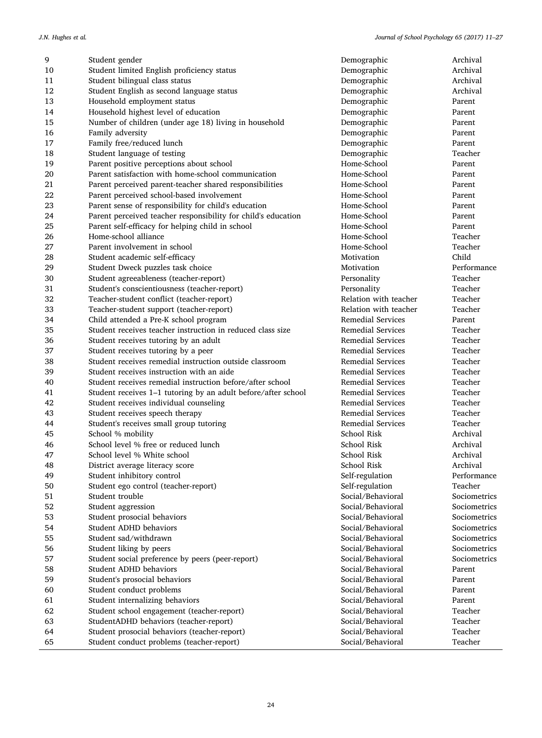| 9        | Student gender                                                             | Demographic                                          | Archival             |
|----------|----------------------------------------------------------------------------|------------------------------------------------------|----------------------|
| 10       | Student limited English proficiency status                                 | Demographic                                          | Archival             |
| 11<br>12 | Student bilingual class status                                             | Demographic                                          | Archival<br>Archival |
| 13       | Student English as second language status                                  | Demographic                                          | Parent               |
|          | Household employment status                                                | Demographic                                          |                      |
| 14       | Household highest level of education                                       | Demographic                                          | Parent               |
| 15<br>16 | Number of children (under age 18) living in household                      | Demographic                                          | Parent               |
| 17       | Family adversity                                                           | Demographic                                          | Parent<br>Parent     |
| 18       | Family free/reduced lunch                                                  | Demographic                                          | Teacher              |
| 19       | Student language of testing<br>Parent positive perceptions about school    | Demographic<br>Home-School                           | Parent               |
| 20       | Parent satisfaction with home-school communication                         | Home-School                                          | Parent               |
| 21       | Parent perceived parent-teacher shared responsibilities                    | Home-School                                          | Parent               |
| 22       |                                                                            | Home-School                                          |                      |
| 23       | Parent perceived school-based involvement                                  | Home-School                                          | Parent               |
|          | Parent sense of responsibility for child's education                       | Home-School                                          | Parent               |
| 24       | Parent perceived teacher responsibility for child's education              |                                                      | Parent               |
| 25       | Parent self-efficacy for helping child in school                           | Home-School                                          | Parent               |
| 26       | Home-school alliance                                                       | Home-School<br>Home-School                           | Teacher              |
| 27       | Parent involvement in school                                               |                                                      | Teacher<br>Child     |
| 28       | Student academic self-efficacy                                             | Motivation                                           |                      |
| 29       | Student Dweck puzzles task choice                                          | Motivation                                           | Performance          |
| 30       | Student agreeableness (teacher-report)                                     | Personality                                          | Teacher              |
| 31       | Student's conscientiousness (teacher-report)                               | Personality                                          | Teacher              |
| 32       | Teacher-student conflict (teacher-report)                                  | Relation with teacher<br>Relation with teacher       | Teacher              |
| 33       | Teacher-student support (teacher-report)                                   |                                                      | Teacher              |
| 34       | Child attended a Pre-K school program                                      | Remedial Services<br>Remedial Services               | Parent               |
| 35       | Student receives teacher instruction in reduced class size                 |                                                      | Teacher              |
| 36       | Student receives tutoring by an adult                                      | Remedial Services                                    | Teacher              |
| 37       | Student receives tutoring by a peer                                        | <b>Remedial Services</b>                             | Teacher              |
| 38       | Student receives remedial instruction outside classroom                    | Remedial Services                                    | Teacher              |
| 39       | Student receives instruction with an aide                                  | Remedial Services                                    | Teacher<br>Teacher   |
| 40<br>41 | Student receives remedial instruction before/after school                  | <b>Remedial Services</b><br><b>Remedial Services</b> | Teacher              |
| 42       | Student receives 1-1 tutoring by an adult before/after school              | Remedial Services                                    | Teacher              |
| 43       | Student receives individual counseling                                     | Remedial Services                                    | Teacher              |
| 44       | Student receives speech therapy<br>Student's receives small group tutoring | <b>Remedial Services</b>                             | Teacher              |
| 45       | School % mobility                                                          | School Risk                                          | Archival             |
| 46       | School level % free or reduced lunch                                       | School Risk                                          | Archival             |
| 47       | School level % White school                                                | School Risk                                          | Archival             |
| 48       | District average literacy score                                            | School Risk                                          | Archival             |
| 49       | Student inhibitory control                                                 | Self-regulation                                      | Performance          |
| 50       | Student ego control (teacher-report)                                       | Self-regulation                                      | Teacher              |
| 51       | Student trouble                                                            | Social/Behavioral                                    | Sociometrics         |
| 52       | Student aggression                                                         | Social/Behavioral                                    | Sociometrics         |
| 53       | Student prosocial behaviors                                                | Social/Behavioral                                    | Sociometrics         |
| 54       | Student ADHD behaviors                                                     | Social/Behavioral                                    | Sociometrics         |
| 55       | Student sad/withdrawn                                                      | Social/Behavioral                                    | Sociometrics         |
| 56       | Student liking by peers                                                    | Social/Behavioral                                    | Sociometrics         |
| 57       | Student social preference by peers (peer-report)                           | Social/Behavioral                                    | Sociometrics         |
| 58       | Student ADHD behaviors                                                     | Social/Behavioral                                    | Parent               |
| 59       | Student's prosocial behaviors                                              | Social/Behavioral                                    | Parent               |
| 60       | Student conduct problems                                                   | Social/Behavioral                                    | Parent               |
| 61       | Student internalizing behaviors                                            | Social/Behavioral                                    | Parent               |
| 62       | Student school engagement (teacher-report)                                 | Social/Behavioral                                    | Teacher              |
| 63       | StudentADHD behaviors (teacher-report)                                     | Social/Behavioral                                    | Teacher              |
| 64       | Student prosocial behaviors (teacher-report)                               | Social/Behavioral                                    | Teacher              |
| 65       | Student conduct problems (teacher-report)                                  | Social/Behavioral                                    | Teacher              |
|          |                                                                            |                                                      |                      |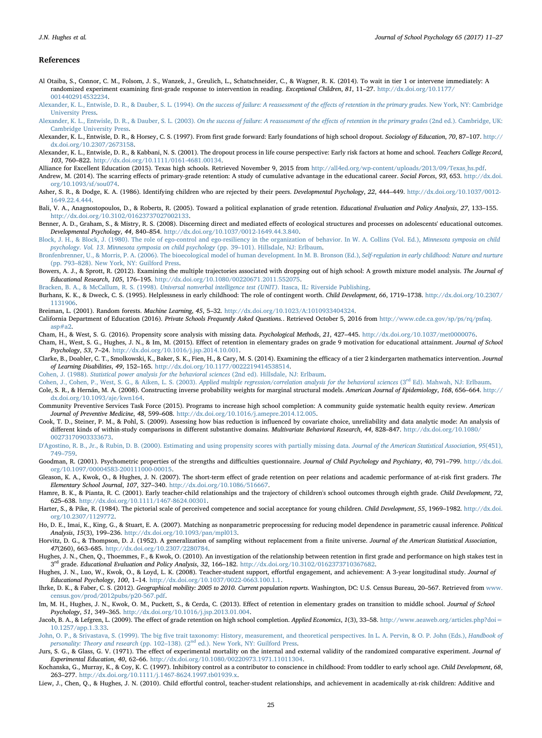#### References

- <span id="page-14-33"></span>Al Otaiba, S., Connor, C. M., Folsom, J. S., Wanzek, J., Greulich, L., Schatschneider, C., & Wagner, R. K. (2014). To wait in tier 1 or intervene immediately: A randomized experiment examining first-grade response to intervention in reading. Exceptional Children, 81, 11–27. [http://dx.doi.org/10.1177/](http://dx.doi.org/10.1177/0014402914532234) [0014402914532234](http://dx.doi.org/10.1177/0014402914532234).
- <span id="page-14-10"></span>[Alexander, K. L., Entwisle, D. R., & Dauber, S. L. \(1994\).](http://refhub.elsevier.com/S0022-4405(17)30076-6/rf0010) On the success of failure: A reassessment of the effects of retention in the primary grades. New York, NY: Cambridge [University Press.](http://refhub.elsevier.com/S0022-4405(17)30076-6/rf0010)
- <span id="page-14-1"></span>[Alexander, K. L., Entwisle, D. R., & Dauber, S. L. \(2003\).](http://refhub.elsevier.com/S0022-4405(17)30076-6/rf0015) On the success of failure: A reassessment of the effects of retention in the primary grades (2nd ed.). Cambridge, UK: [Cambridge University Press](http://refhub.elsevier.com/S0022-4405(17)30076-6/rf0015).
- <span id="page-14-14"></span>Alexander, K. L., Entwisle, D. R., & Horsey, C. S. (1997). From first grade forward: Early foundations of high school dropout. Sociology of Education, 70, 87–107. [http://](http://dx.doi.org/10.2307/2673158) [dx.doi.org/10.2307/2673158](http://dx.doi.org/10.2307/2673158).
- <span id="page-14-2"></span>Alexander, K. L., Entwisle, D. R., & Kabbani, N. S. (2001). The dropout process in life course perspective: Early risk factors at home and school. Teachers College Record, 103, 760–822. <http://dx.doi.org/10.1111/0161-4681.00134>.
- <span id="page-14-0"></span>Alliance for Excellent Education (2015). Texas high schools. Retrieved November 9, 2015 from [http://all4ed.org/wp-content/uploads/2013/09/Texas\\_hs.pdf](http://all4ed.org/wp-content/uploads/2013/09/Texas_hs.pdf).
- <span id="page-14-4"></span>Andrew, M. (2014). The scarring effects of primary-grade retention: A study of cumulative advantage in the educational career. Social Forces, 93, 653. [http://dx.doi.](http://dx.doi.org/10.1093/sf/sou074) [org/10.1093/sf/sou074.](http://dx.doi.org/10.1093/sf/sou074)
- <span id="page-14-24"></span>Asher, S. R., & Dodge, K. A. (1986). Identifying children who are rejected by their peers. Developmental Psychology, 22, 444–449. [http://dx.doi.org/10.1037/0012-](http://dx.doi.org/10.1037/0012-1649.22.4.444) [1649.22.4.444](http://dx.doi.org/10.1037/0012-1649.22.4.444).
- <span id="page-14-5"></span>Bali, V. A., Anagnostopoulos, D., & Roberts, R. (2005). Toward a political explanation of grade retention. Educational Evaluation and Policy Analysis, 27, 133-155. [http://dx.doi.org/10.3102/01623737027002133.](http://dx.doi.org/10.3102/01623737027002133)
- Benner, A. D., Graham, S., & Mistry, R. S. (2008). Discerning direct and mediated effects of ecological structures and processes on adolescents' educational outcomes. Developmental Psychology, 44, 840–854. <http://dx.doi.org/10.1037/0012-1649.44.3.840>.
- <span id="page-14-22"></span>[Block, J. H., & Block, J. \(1980\). The role of ego-control and ego-resiliency in the organization of behavior. In W. A. Collins \(Vol. Ed.\),](http://refhub.elsevier.com/S0022-4405(17)30076-6/rf0055) Minnesota symposia on child psychology. Vol. 13. [Minnesota symposia on child psychology](http://refhub.elsevier.com/S0022-4405(17)30076-6/rf0055) (pp. 39–101). Hillsdale, NJ: Erlbaum.
- <span id="page-14-15"></span>Bronfenbrenner, [U., & Morris, P. A. \(2006\). The bioecological model of human development. In M. B. Bronson \(Ed.\),](http://refhub.elsevier.com/S0022-4405(17)30076-6/rf0060) Self-regulation in early childhood: Nature and nurture (pp. 793–[828\). New York, NY: Guilford Press](http://refhub.elsevier.com/S0022-4405(17)30076-6/rf0060).
- Bowers, A. J., & Sprott, R. (2012). Examining the multiple trajectories associated with dropping out of high school: A growth mixture model analysis. The Journal of Educational Research, 105, 176–195. [http://dx.doi.org/10.1080/00220671.2011.552075.](http://dx.doi.org/10.1080/00220671.2011.552075)
- <span id="page-14-11"></span>[Bracken, B. A., & McCallum, R. S. \(1998\).](http://refhub.elsevier.com/S0022-4405(17)30076-6/rf0070) Universal nonverbal intelligence test (UNIT). Itasca, IL: Riverside Publishing.
- <span id="page-14-18"></span>Burhans, K. K., & Dweck, C. S. (1995). Helplessness in early childhood: The role of contingent worth. Child Development, 66, 1719-1738. [http://dx.doi.org/10.2307/](http://dx.doi.org/10.2307/1131906) [1131906](http://dx.doi.org/10.2307/1131906).
- <span id="page-14-26"></span>Breiman, L. (2001). Random forests. Machine Learning, 45, 5–32. <http://dx.doi.org/10.1023/A:1010933404324>.
- <span id="page-14-31"></span>California Department of Education (2016). Private Schools Frequently Asked Questions.. Retrieved October 5, 2016 from [http://www.cde.ca.gov/sp/ps/rq/psfaq.](http://www.cde.ca.gov/sp/ps/rq/psfaq.asp#a2) [asp#a2.](http://www.cde.ca.gov/sp/ps/rq/psfaq.asp#a2)
- <span id="page-14-27"></span>Cham, H., & West, S. G. (2016). Propensity score analysis with missing data. Psychological Methods, 21, 427–445. [http://dx.doi.org/10.1037/met0000076.](http://dx.doi.org/10.1037/met0000076)
- <span id="page-14-9"></span>Cham, H., West, S. G., Hughes, J. N., & Im, M. (2015). Effect of retention in elementary grades on grade 9 motivation for educational attainment. Journal of School Psychology, 53, 7–24. <http://dx.doi.org/10.1016/j.jsp.2014.10.001>.
- Clarke, B., Doabler, C. T., Smolkowski, K., Baker, S. K., Fien, H., & Cary, M. S. (2014). Examining the efficacy of a tier 2 kindergarten mathematics intervention. Journal of Learning Disabilities, 49, 152–165. [http://dx.doi.org/10.1177/0022219414538514.](http://dx.doi.org/10.1177/0022219414538514)
- <span id="page-14-12"></span>Cohen, J. (1988). [Statistical power analysis for the behavioral sciences](http://refhub.elsevier.com/S0022-4405(17)30076-6/rf0105) (2nd ed). Hillsdale, NJ: Erlbaum.
- <span id="page-14-29"></span>Cohen, J., Cohen, P., West, S. G., & Aiken, L. S. (2003). [Applied multiple regression/correlation analysis for the behavioral sciences](http://refhub.elsevier.com/S0022-4405(17)30076-6/rf0110) (3rd Ed). Mahwah, NJ: Erlbaum.
- <span id="page-14-7"></span>Cole, S. R., & Hernán, M. A. (2008). Constructing inverse probability weights for marginal structural models. American Journal of Epidemiology, 168, 656–664. [http://](http://dx.doi.org/10.1093/aje/kwn164) [dx.doi.org/10.1093/aje/kwn164](http://dx.doi.org/10.1093/aje/kwn164).
- <span id="page-14-32"></span>Community Preventive Services Task Force (2015). Programs to increase high school completion: A community guide systematic health equity review. American Journal of Preventive Medicine, 48, 599–608. [http://dx.doi.org/10.1016/j.amepre.2014.12.005.](http://dx.doi.org/10.1016/j.amepre.2014.12.005)
- <span id="page-14-3"></span>Cook, T. D., Steiner, P. M., & Pohl, S. (2009). Assessing how bias reduction is influenced by covariate choice, unreliability and data analytic mode: An analysis of different kinds of within-study comparisons in different substantive domains. Multivariate Behavioral Research, 44, 828-847. [http://dx.doi.org/10.1080/](http://dx.doi.org/10.1080/00273170903333673) [00273170903333673.](http://dx.doi.org/10.1080/00273170903333673)
- <span id="page-14-25"></span>[D'Agostino, R. B., Jr., & Rubin, D. B. \(2000\). Estimating and using propensity scores with partially missing data.](http://refhub.elsevier.com/S0022-4405(17)30076-6/rf0130) Journal of the American Statistical Association, 95(451), 749–[759.](http://refhub.elsevier.com/S0022-4405(17)30076-6/rf0130)
- <span id="page-14-20"></span>Goodman, R. (2001). Psychometric properties of the strengths and difficulties questionnaire. Journal of Child Psychology and Psychiatry, 40, 791–799. [http://dx.doi.](http://dx.doi.org/10.1097/00004583-200111000-00015) [org/10.1097/00004583-200111000-00015.](http://dx.doi.org/10.1097/00004583-200111000-00015)
- Gleason, K. A., Kwok, O., & Hughes, J. N. (2007). The short-term effect of grade retention on peer relations and academic performance of at-risk first graders. The Elementary School Journal, 107, 327–340. [http://dx.doi.org/10.1086/516667.](http://dx.doi.org/10.1086/516667)
- Hamre, B. K., & Pianta, R. C. (2001). Early teacher-child relationships and the trajectory of children's school outcomes through eighth grade. Child Development, 72, 625–638. [http://dx.doi.org/10.1111/1467-8624.00301.](http://dx.doi.org/10.1111/1467-8624.00301)
- <span id="page-14-19"></span>Harter, S., & Pike, R. (1984). The pictorial scale of perceived competence and social acceptance for young children. Child Development, 55, 1969-1982. [http://dx.doi.](http://dx.doi.org/10.2307/1129772) [org/10.2307/1129772.](http://dx.doi.org/10.2307/1129772)
- <span id="page-14-30"></span>Ho, D. E., Imai, K., King, G., & Stuart, E. A. (2007). Matching as nonparametric preprocessing for reducing model dependence in parametric causal inference. Political Analysis, 15(3), 199–236. <http://dx.doi.org/10.1093/pan/mpl013>.
- <span id="page-14-28"></span>Horvitz, D. G., & Thompson, D. J. (1952). A generalization of sampling without replacement from a finite universe. Journal of the American Statistical Association, 47(260), 663–685. <http://dx.doi.org/10.2307/2280784>.
- Hughes, J. N., Chen, Q., Thoemmes, F., & Kwok, O. (2010). An investigation of the relationship between retention in first grade and performance on high stakes test in 3rd grade. Educational Evaluation and Policy Analysis, 32, 166–182. [http://dx.doi.org/10.3102/0162373710367682.](http://dx.doi.org/10.3102/0162373710367682)
- <span id="page-14-21"></span>Hughes, J. N., Luo, W., Kwok, O., & Loyd, L. K. (2008). Teacher-student support, effortful engagement, and achievement: A 3-year longitudinal study. Journal of Educational Psychology, 100, 1–14. <http://dx.doi.org/10.1037/0022-0663.100.1.1>.
- <span id="page-14-6"></span>Ihrke, D. K., & Faber, C. S. (2012). Geographical mobility: 2005 to 2010. Current population reports. Washington, DC: U.S. Census Bureau, 20-567. Retrieved from [www.](http://www.census.gov/prod/2012pubs/p20-567.pdf) [census.gov/prod/2012pubs/p20-567.pdf.](http://www.census.gov/prod/2012pubs/p20-567.pdf)
- <span id="page-14-8"></span>Im, M. H., Hughes, J. N., Kwok, O. M., Puckett, S., & Cerda, C. (2013). Effect of retention in elementary grades on transition to middle school. Journal of School Psychology, 51, 349–365. [http://dx.doi.org/10.1016/j.jsp.2013.01.004.](http://dx.doi.org/10.1016/j.jsp.2013.01.004)
- Jacob, B. A., & Lefgren, L. (2009). The effect of grade retention on high school completion. Applied Economics, 1(3), 33-58. [http://www.aeaweb.org/articles.php?doi=](http://www.aeaweb.org/articles.php?doi=10.1257/app.1.3.33) [10.1257/app.1.3.33](http://www.aeaweb.org/articles.php?doi=10.1257/app.1.3.33).
- <span id="page-14-23"></span>John, O. P., & Srivastava, S. (1999). The big fi[ve trait taxonomy: History, measurement, and theoretical perspectives. In L. A. Pervin, & O. P. John \(Eds.\),](http://refhub.elsevier.com/S0022-4405(17)30076-6/rf0185) Handbook of personality: Theory and research (pp. 102–138). (2<sup>nd</sup> [ed.\). New York, NY: Guilford Press](http://refhub.elsevier.com/S0022-4405(17)30076-6/rf0185).
- <span id="page-14-13"></span>Jurs, S. G., & Glass, G. V. (1971). The effect of experimental mortality on the internal and external validity of the randomized comparative experiment. Journal of Experimental Education, 40, 62–66. <http://dx.doi.org/10.1080/00220973.1971.11011304>.
- <span id="page-14-16"></span>Kochanska, G., Murray, K., & Coy, K. C. (1997). Inhibitory control as a contributor to conscience in childhood: From toddler to early school age. Child Development, 68, 263–277. <http://dx.doi.org/10.1111/j.1467-8624.1997.tb01939.x>.
- <span id="page-14-17"></span>Liew, J., Chen, Q., & Hughes, J. N. (2010). Child effortful control, teacher-student relationships, and achievement in academically at-risk children: Additive and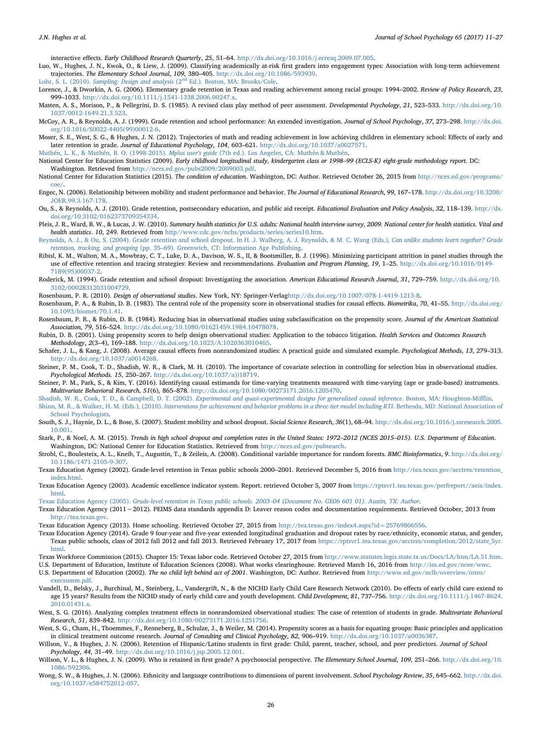interactive effects. Early Childhood Research Quarterly, 25, 51–64. [http://dx.doi.org/10.1016/j.ecresq.2009.07.005.](http://dx.doi.org/10.1016/j.ecresq.2009.07.005)

Luo, W., Hughes, J. N., Kwok, O., & Liew, J. (2009). Classifying academically at-risk first graders into engagement types: Association with long-term achievement trajectories. The Elementary School Journal, 109, 380–405. [http://dx.doi.org/10.1086/593939.](http://dx.doi.org/10.1086/593939)

Lohr, S. L. (2010). Sampling: Design and analysis (2<sup>nd</sup> [Ed.\). Boston, MA: Brooks/Cole](http://refhub.elsevier.com/S0022-4405(17)30076-6/rf0210).

Lorence, J., & Dworkin, A. G. (2006). Elementary grade retention in Texas and reading achievement among racial groups: 1994-2002. Review of Policy Research, 23, 999–1033. <http://dx.doi.org/10.1111/j.1541-1338.2006.00247.x>.

<span id="page-15-20"></span>Masten, A. S., Morison, P., & Pellegrini, D. S. (1985). A revised class play method of peer assessment. Developmental Psychology, 21, 523-533. [http://dx.doi.org/10.](http://dx.doi.org/10.1037/0012-1649.21.3.523) [1037/0012-1649.21.3.523](http://dx.doi.org/10.1037/0012-1649.21.3.523).

McCoy, A. R., & Reynolds, A. J. (1999). Grade retention and school performance: An extended investigation. Journal of School Psychology, 37, 273–298. [http://dx.doi.](http://dx.doi.org/10.1016/S0022-4405(99)00012-6) [org/10.1016/S0022-4405\(99\)00012-6](http://dx.doi.org/10.1016/S0022-4405(99)00012-6).

<span id="page-15-11"></span>Moser, S. E., West, S. G., & Hughes, J. N. (2012). Trajectories of math and reading achievement in low achieving children in elementary school: Effects of early and later retention in grade. Journal of Educational Psychology, 104, 603–621. <http://dx.doi.org/10.1037/a0027571>.

<span id="page-15-24"></span>[Muthén, L. K., & Muthén, B. O. \(1998-2015\).](http://refhub.elsevier.com/S0022-4405(17)30076-6/rf0235) Mplus user's guide (7th ed.). Los Angeles, CA: Muthén & Muthén.

<span id="page-15-26"></span>National Center for Education Statistics (2009). Early childhood longitudinal study, kindergarten class or 1998–99 (ECLS-K) eight-grade methodology report. DC:

Washington. Retrieved from [http://nces.ed.gov/pubs2009/2009003.pdf.](http://nces.ed.gov/pubs2009/2009003.pdf)

<span id="page-15-0"></span>National Center for Education Statistics (2015). The condition of education. Washington, DC: Author. Retrieved October 26, 2015 from [http://nces.ed.gov/programs/](http://nces.ed.gov/programs/coe/) [coe/.](http://nces.ed.gov/programs/coe/)

<span id="page-15-7"></span>Engec, N. (2006). Relationship between mobility and student performance and behavior. The Journal of Educational Research, 99, 167–178. [http://dx.doi.org/10.3200/](http://dx.doi.org/10.3200/JOER.99.3.167-178) [JOER.99.3.167-178](http://dx.doi.org/10.3200/JOER.99.3.167-178).

Ou, S., & Reynolds, A. J. (2010). Grade retention, postsecondary education, and public aid receipt. Educational Evaluation and Policy Analysis, 32, 118-139. [http://dx.](http://dx.doi.org/10.3102/0162373709354334) [doi.org/10.3102/0162373709354334](http://dx.doi.org/10.3102/0162373709354334).

<span id="page-15-1"></span>Pleis, J. R., Ward, B. W., & Lucas, J. W. (2010). Summary health statistics for U.S. adults: National health interview survey, 2009. National center for health statistics. Vital and health statistics. 10, 249. Retrieved from [http//www.cdc.gov/nchs/products/series/series10.htm.](http://http/www.cdc.gov/nchs/products/series/series10.htm)

[Reynolds, A. J., & Ou, S. \(2004\). Grade retention and school dropout. In H. J. Walberg, A. J. Reynolds, & M. C. Wang \(Eds.\),](http://refhub.elsevier.com/S0022-4405(17)30076-6/rf0265) Can unlike students learn together? Grade retention, tracking, and grouping (pp. 35–[69\). Greenwich, CT: Information Age Publishing](http://refhub.elsevier.com/S0022-4405(17)30076-6/rf0265).

<span id="page-15-16"></span>Ribisl, K. M., Walton, M. A., Mowbray, C. T., Luke, D. A., Davison, W. S., II, & Bootsmiller, B. J. (1996). Minimizing participant attrition in panel studies through the use of effective retention and tracing strategies: Review and recommendations. Evaluation and Program Planning, 19, 1-25. [http://dx.doi.org/10.1016/0149-](http://dx.doi.org/10.1016/0149-7189(95)00037-2) [7189\(95\)00037-2.](http://dx.doi.org/10.1016/0149-7189(95)00037-2)

<span id="page-15-12"></span>Roderick, M. (1994). Grade retention and school dropout: Investigating the association. American Educational Research Journal, 31, 729–759. [http://dx.doi.org/10.](http://dx.doi.org/10.3102/00028312031004729) [3102/00028312031004729](http://dx.doi.org/10.3102/00028312031004729).

<span id="page-15-21"></span>Rosenbaum, P. R. (2010). Design of observational studies. New York, NY: Springer-Verla[ghttp://dx.doi.org/10.1007/078-1-4419-1213-8.](http://dx.doi.org/10.1007/078-1-4419-1213-8)

<span id="page-15-4"></span>Rosenbaum, P. A., & Rubin, D. B. (1983). The central role of the propensity score in observational studies for causal effects. Biometrika, 70, 41-55. [http://dx.doi.org/](http://dx.doi.org/10.1093/biomet/70.1.41) [10.1093/biomet/70.1.41.](http://dx.doi.org/10.1093/biomet/70.1.41)

Rosenbaum, P. R., & Rubin, D. B. (1984). Reducing bias in observational studies using subclassification on the propensity score. Journal of the American Statistical Association, 79, 516–524. [http://dx.doi.org/10.1080/01621459.1984.10478078.](http://dx.doi.org/10.1080/01621459.1984.10478078)

<span id="page-15-17"></span>Rubin, D. B. (2001). Using propensity scores to help design observational studies: Application to the tobacco litigation. Health Services and Outcomes Research Methodology, 2(3–4), 169–188. [http://dx.doi.org/10.1023/A:1020363010465.](http://dx.doi.org/10.1023/A:1020363010465)

<span id="page-15-23"></span>Schafer, J. L., & Kang, J. (2008). Average causal effects from nonrandomized studies: A practical guide and simulated example. Psychological Methods, 13, 279–313. <http://dx.doi.org/10.1037/a0014268>.

<span id="page-15-18"></span>Steiner, P. M., Cook, T. D., Shadish, W. R., & Clark, M. H. (2010). The importance of covariate selection in controlling for selection bias in observational studies. Psychological Methods. 15, 250–267. [http://dx.doi.org/10.1037/a\)\)18719.](http://dx.doi.org/10.1037/a))18719)

Steiner, P. M., Park, S., & Kim, Y. (2016). Identifying causal estimands for time-varying treatments measured with time-varying (age or grade-based) instruments. Multivariate Behavioral Research, 51(6), 865–878. [http://dx.doi.org/10.1080/00273171.2016.1205470.](http://dx.doi.org/10.1080/00273171.2016.1205470)

<span id="page-15-29"></span><span id="page-15-2"></span>Shadish, W. R., Cook, T. D., & Campbell, D. T. (2002). [Experimental and quasi-experimental designs for generalized causal inference](http://refhub.elsevier.com/S0022-4405(17)30076-6/rf0315). Boston, MA: Houghton-Mifflin. Shinn, M. R., & Walker, H. M. (Eds.), (2010). [Interventions for achievement and behavior problems in a three-tier model including RTI](http://refhub.elsevier.com/S0022-4405(17)30076-6/rf0320). Bethesda, MD: National Association of [School Psychologists](http://refhub.elsevier.com/S0022-4405(17)30076-6/rf0320).

South, S. J., Haynie, D. L., & Bose, S. (2007). Student mobility and school dropout. Social Science Research, 36(1), 68-94. [http://dx.doi.org/10.1016/j.ssresearch.2005.](http://dx.doi.org/10.1016/j.ssresearch.2005.10.001) [10.001.](http://dx.doi.org/10.1016/j.ssresearch.2005.10.001)

<span id="page-15-8"></span>Stark, P., & Noel, A. M. (2015). Trends in high school dropout and completion rates in the United States: 1972–2012 (NCES 2015–015). U.S. Department of Education. Washington, DC: National Center for Education Statistics. Retrieved from <http://nces.ed.gov/pubsearch>.

<span id="page-15-22"></span>Strobl, C., Boulesteix, A. L., Kneib, T., Augustin, T., & Zeileis, A. (2008). Conditional variable importance for random forests. BMC Bioinformatics, 9. [http://dx.doi.org/](http://dx.doi.org/10.1186/1471-2105-9-307) [10.1186/1471-2105-9-307.](http://dx.doi.org/10.1186/1471-2105-9-307)

<span id="page-15-10"></span>Texas Education Agency (2002). Grade-level retention in Texas public schools 2000-2001. Retrieved December 5, 2016 from http://tea.texas.gov/acctres/retention [index.html](http://tea.texas.gov/acctres/retention_index.html).

<span id="page-15-15"></span>Texas Education Agency (2003). Academic excellence indicator system. Report. retrieved October 5, 2007 from [https://rptsvr1.tea.texas.gov/perfreport//aeis/index.](https://rptsvr1.tea.texas.gov/perfreport//aeis/index.html) [html](https://rptsvr1.tea.texas.gov/perfreport//aeis/index.html).

<span id="page-15-6"></span>Texas Education Agency (2005). Grade-level retention in Texas public schools. 2003–[04 \(Document No. GE06 601 01\). Austin, TX: Author](http://refhub.elsevier.com/S0022-4405(17)30076-6/rf0350).

<span id="page-15-27"></span>Texas Education Agency (2011−2012). PEIMS data standards appendix D: Leaver reason codes and documentation requirements. Retrieved October, 2013 from <http://tea.texas.gov>.

<span id="page-15-13"></span>Texas Education Agency (2013). Home schooling. Retrieved October 27, 2015 from <http://tea.texas.gov/index4.aspx?id=25769806556>.

<span id="page-15-9"></span>Texas Education Agency (2014). Grade 9 four-year and five-year extended longitudinal graduation and dropout rates by race/ethnicity, economic status, and gender, Texas public schools, class of 2012 fall 2012 and fall 2013. Retrieved February 17, 2017 from [https://rptsvr1.tea.texas.gov/acctres/completion/2012/state\\_5yr.](https://rptsvr1.tea.texas.gov/acctres/completion/2012/state_5yr.html) [html](https://rptsvr1.tea.texas.gov/acctres/completion/2012/state_5yr.html).

<span id="page-15-14"></span>Texas Workforce Commission (2015). Chapter 15: Texas labor code. Retrieved October 27, 2015 from <http://www.statutes.legis.state.tx.us/Docs/LA/htm/LA.51.htm>.

<span id="page-15-28"></span><span id="page-15-5"></span>U.S. Department of Education, Institute of Education Sciences (2008). What works clearinghouse. Retrieved March 16, 2016 from [http://ies.ed.gov/ncee/wwc.](http://ies.ed.gov/ncee/wwc) U.S. Department of Education (2002). The no child left behind act of 2001. Washington, DC: Author. Retrieved from [http://www.ed.gov/nclb/overview/intro/](http://www.ed.gov/nclb/overview/intro/execsumm.pdf)

<span id="page-15-25"></span>[execsumm.pdf](http://www.ed.gov/nclb/overview/intro/execsumm.pdf). Vandell, D., Belsky, J., Burchinal, M., Steinberg, L., Vandergrift, N., & the NICHD Early Child Care Research Network (2010). Do effects of early child care extend to

age 15 years? Results from the NICHD study of early child care and youth development. Child Development, 81, 737-756. [http://dx.doi.org/10.1111/j.1467-8624.](http://dx.doi.org/10.1111/j.1467-8624.2010.01431.x) [2010.01431.x](http://dx.doi.org/10.1111/j.1467-8624.2010.01431.x).

West, S. G. (2016). Analyzing complex treatment effects in nonrandomized observational studies: The case of retention of students in grade. Multivariate Behavioral Research, 51, 839–842. [http://dx.doi.org/10.1080/00273171.2016.1251756.](http://dx.doi.org/10.1080/00273171.2016.1251756)

<span id="page-15-3"></span>West, S. G., Cham, H., Thoemmes, F., Renneberg, B., Schulze, J., & Weiler, M. (2014). Propensity scores as a basis for equating groups: Basic principles and application in clinical treatment outcome research. Journal of Consulting and Clinical Psychology, 82, 906-919. <http://dx.doi.org/10.1037/a0036387>

Willson, V., & Hughes, J. N. (2006). Retention of Hispanic/Latino students in first grade: Child, parent, teacher, school, and peer predictors. Journal of School Psychology, 44, 31–49. [http://dx.doi.org/10.1016/j.jsp.2005.12.001.](http://dx.doi.org/10.1016/j.jsp.2005.12.001)

Willson, V. L., & Hughes, J. N. (2009). Who is retained in first grade? A psychosocial perspective. The Elementary School Journal, 109, 251-266. [http://dx.doi.org/10.](http://dx.doi.org/10.1086/592306) [1086/592306.](http://dx.doi.org/10.1086/592306)

<span id="page-15-19"></span>Wong, S. W., & Hughes, J. N. (2006). Ethnicity and language contributions to dimensions of parent involvement. School Psychology Review, 35, 645-662. [http://dx.doi.](http://dx.doi.org/10.1037/e584752012-057) [org/10.1037/e584752012-057](http://dx.doi.org/10.1037/e584752012-057).